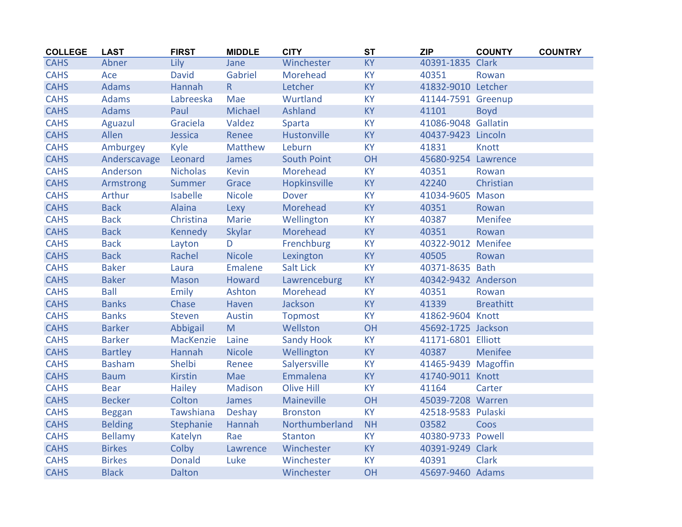| <b>COLLEGE</b> | <b>LAST</b>    | <b>FIRST</b>    | <b>MIDDLE</b>  | <b>CITY</b>        | <b>ST</b> | <b>ZIP</b>          | <b>COUNTY</b>    | <b>COUNTRY</b> |
|----------------|----------------|-----------------|----------------|--------------------|-----------|---------------------|------------------|----------------|
| <b>CAHS</b>    | Abner          | Lily            | Jane           | Winchester         | <b>KY</b> | 40391-1835 Clark    |                  |                |
| <b>CAHS</b>    | Ace            | <b>David</b>    | Gabriel        | Morehead           | <b>KY</b> | 40351               | Rowan            |                |
| <b>CAHS</b>    | <b>Adams</b>   | Hannah          | R              | Letcher            | KY        | 41832-9010 Letcher  |                  |                |
| <b>CAHS</b>    | <b>Adams</b>   | Labreeska       | Mae            | Wurtland           | <b>KY</b> | 41144-7591 Greenup  |                  |                |
| <b>CAHS</b>    | <b>Adams</b>   | Paul            | Michael        | Ashland            | <b>KY</b> | 41101               | <b>Boyd</b>      |                |
| <b>CAHS</b>    | Aguazul        | Graciela        | Valdez         | Sparta             | <b>KY</b> | 41086-9048 Gallatin |                  |                |
| <b>CAHS</b>    | Allen          | Jessica         | Renee          | Hustonville        | KY        | 40437-9423 Lincoln  |                  |                |
| <b>CAHS</b>    | Amburgey       | Kyle            | Matthew        | Leburn             | <b>KY</b> | 41831               | Knott            |                |
| <b>CAHS</b>    | Anderscavage   | Leonard         | James          | <b>South Point</b> | OH        | 45680-9254 Lawrence |                  |                |
| <b>CAHS</b>    | Anderson       | <b>Nicholas</b> | Kevin          | Morehead           | <b>KY</b> | 40351               | Rowan            |                |
| <b>CAHS</b>    | Armstrong      | Summer          | Grace          | Hopkinsville       | KY        | 42240               | Christian        |                |
| <b>CAHS</b>    | Arthur         | <b>Isabelle</b> | <b>Nicole</b>  | <b>Dover</b>       | <b>KY</b> | 41034-9605 Mason    |                  |                |
| <b>CAHS</b>    | <b>Back</b>    | Alaina          | Lexy           | Morehead           | <b>KY</b> | 40351               | Rowan            |                |
| <b>CAHS</b>    | <b>Back</b>    | Christina       | Marie          | Wellington         | KY        | 40387               | Menifee          |                |
| <b>CAHS</b>    | <b>Back</b>    | <b>Kennedy</b>  | Skylar         | Morehead           | <b>KY</b> | 40351               | Rowan            |                |
| <b>CAHS</b>    | <b>Back</b>    | Layton          | D              | Frenchburg         | KY        | 40322-9012 Menifee  |                  |                |
| <b>CAHS</b>    | <b>Back</b>    | Rachel          | <b>Nicole</b>  | Lexington          | <b>KY</b> | 40505               | Rowan            |                |
| <b>CAHS</b>    | <b>Baker</b>   | Laura           | <b>Emalene</b> | <b>Salt Lick</b>   | <b>KY</b> | 40371-8635 Bath     |                  |                |
| <b>CAHS</b>    | <b>Baker</b>   | <b>Mason</b>    | Howard         | Lawrenceburg       | KY        | 40342-9432 Anderson |                  |                |
| <b>CAHS</b>    | <b>Ball</b>    | Emily           | Ashton         | Morehead           | KY        | 40351               | Rowan            |                |
| <b>CAHS</b>    | <b>Banks</b>   | Chase           | Haven          | Jackson            | <b>KY</b> | 41339               | <b>Breathitt</b> |                |
| <b>CAHS</b>    | <b>Banks</b>   | <b>Steven</b>   | Austin         | <b>Topmost</b>     | <b>KY</b> | 41862-9604 Knott    |                  |                |
| <b>CAHS</b>    | <b>Barker</b>  | Abbigail        | M              | Wellston           | OH        | 45692-1725 Jackson  |                  |                |
| <b>CAHS</b>    | <b>Barker</b>  | MacKenzie       | Laine          | <b>Sandy Hook</b>  | <b>KY</b> | 41171-6801 Elliott  |                  |                |
| <b>CAHS</b>    | <b>Bartley</b> | Hannah          | <b>Nicole</b>  | Wellington         | KY        | 40387               | Menifee          |                |
| <b>CAHS</b>    | <b>Basham</b>  | Shelbi          | Renee          | Salyersville       | <b>KY</b> | 41465-9439 Magoffin |                  |                |
| <b>CAHS</b>    | <b>Baum</b>    | <b>Kirstin</b>  | Mae            | Emmalena           | <b>KY</b> | 41740-9011 Knott    |                  |                |
| <b>CAHS</b>    | <b>Bear</b>    | <b>Hailey</b>   | Madison        | Olive Hill         | <b>KY</b> | 41164               | Carter           |                |
| <b>CAHS</b>    | <b>Becker</b>  | Colton          | James          | Maineville         | OH        | 45039-7208 Warren   |                  |                |
| <b>CAHS</b>    | <b>Beggan</b>  | Tawshiana       | <b>Deshay</b>  | <b>Bronston</b>    | <b>KY</b> | 42518-9583 Pulaski  |                  |                |
| <b>CAHS</b>    | <b>Belding</b> | Stephanie       | Hannah         | Northumberland     | <b>NH</b> | 03582               | Coos             |                |
| <b>CAHS</b>    | <b>Bellamy</b> | Katelyn         | Rae            | <b>Stanton</b>     | <b>KY</b> | 40380-9733 Powell   |                  |                |
| <b>CAHS</b>    | <b>Birkes</b>  | Colby           | Lawrence       | Winchester         | <b>KY</b> | 40391-9249 Clark    |                  |                |
| <b>CAHS</b>    | <b>Birkes</b>  | <b>Donald</b>   | Luke           | Winchester         | KY        | 40391               | <b>Clark</b>     |                |
| <b>CAHS</b>    | <b>Black</b>   | <b>Dalton</b>   |                | Winchester         | OH        | 45697-9460 Adams    |                  |                |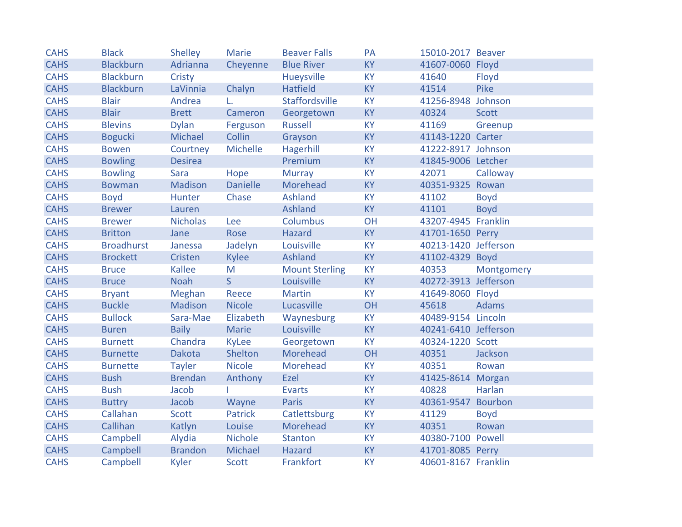| <b>CAHS</b> | <b>Black</b>      | Shelley         | Marie           | <b>Beaver Falls</b>   | PA        | 15010-2017 Beaver    |              |
|-------------|-------------------|-----------------|-----------------|-----------------------|-----------|----------------------|--------------|
| <b>CAHS</b> | <b>Blackburn</b>  | Adrianna        | Cheyenne        | <b>Blue River</b>     | <b>KY</b> | 41607-0060 Floyd     |              |
| <b>CAHS</b> | <b>Blackburn</b>  | Cristy          |                 | Hueysville            | <b>KY</b> | 41640                | Floyd        |
| <b>CAHS</b> | <b>Blackburn</b>  | LaVinnia        | Chalyn          | <b>Hatfield</b>       | <b>KY</b> | 41514                | <b>Pike</b>  |
| <b>CAHS</b> | <b>Blair</b>      | Andrea          | L.              | Staffordsville        | <b>KY</b> | 41256-8948 Johnson   |              |
| <b>CAHS</b> | <b>Blair</b>      | <b>Brett</b>    | Cameron         | Georgetown            | <b>KY</b> | 40324                | <b>Scott</b> |
| <b>CAHS</b> | <b>Blevins</b>    | <b>Dylan</b>    | Ferguson        | Russell               | <b>KY</b> | 41169                | Greenup      |
| <b>CAHS</b> | <b>Bogucki</b>    | Michael         | Collin          | Grayson               | <b>KY</b> | 41143-1220 Carter    |              |
| <b>CAHS</b> | <b>Bowen</b>      | Courtney        | Michelle        | Hagerhill             | <b>KY</b> | 41222-8917 Johnson   |              |
| <b>CAHS</b> | <b>Bowling</b>    | <b>Desirea</b>  |                 | Premium               | <b>KY</b> | 41845-9006 Letcher   |              |
| <b>CAHS</b> | <b>Bowling</b>    | Sara            | Hope            | <b>Murray</b>         | <b>KY</b> | 42071                | Calloway     |
| <b>CAHS</b> | <b>Bowman</b>     | Madison         | <b>Danielle</b> | Morehead              | <b>KY</b> | 40351-9325 Rowan     |              |
| <b>CAHS</b> | <b>Boyd</b>       | Hunter          | Chase           | <b>Ashland</b>        | <b>KY</b> | 41102                | <b>Boyd</b>  |
| <b>CAHS</b> | <b>Brewer</b>     | Lauren          |                 | Ashland               | <b>KY</b> | 41101                | <b>Boyd</b>  |
| <b>CAHS</b> | <b>Brewer</b>     | <b>Nicholas</b> | Lee             | <b>Columbus</b>       | OH        | 43207-4945 Franklin  |              |
| <b>CAHS</b> | <b>Britton</b>    | Jane            | Rose            | <b>Hazard</b>         | <b>KY</b> | 41701-1650 Perry     |              |
| <b>CAHS</b> | <b>Broadhurst</b> | Janessa         | Jadelyn         | Louisville            | <b>KY</b> | 40213-1420 Jefferson |              |
| <b>CAHS</b> | <b>Brockett</b>   | Cristen         | Kylee           | Ashland               | <b>KY</b> | 41102-4329 Boyd      |              |
| <b>CAHS</b> | <b>Bruce</b>      | Kallee          | M               | <b>Mount Sterling</b> | <b>KY</b> | 40353                | Montgomery   |
| <b>CAHS</b> | <b>Bruce</b>      | Noah            | S               | Louisville            | <b>KY</b> | 40272-3913 Jefferson |              |
| <b>CAHS</b> | <b>Bryant</b>     | Meghan          | Reece           | <b>Martin</b>         | <b>KY</b> | 41649-8060 Floyd     |              |
| <b>CAHS</b> | <b>Buckle</b>     | Madison         | <b>Nicole</b>   | Lucasville            | OH        | 45618                | <b>Adams</b> |
| <b>CAHS</b> | <b>Bullock</b>    | Sara-Mae        | Elizabeth       | Waynesburg            | <b>KY</b> | 40489-9154 Lincoln   |              |
| <b>CAHS</b> | <b>Buren</b>      | <b>Baily</b>    | Marie           | Louisville            | <b>KY</b> | 40241-6410 Jefferson |              |
| <b>CAHS</b> | <b>Burnett</b>    | Chandra         | KyLee           | Georgetown            | <b>KY</b> | 40324-1220 Scott     |              |
| <b>CAHS</b> | <b>Burnette</b>   | <b>Dakota</b>   | Shelton         | Morehead              | OH        | 40351                | Jackson      |
| <b>CAHS</b> | <b>Burnette</b>   | <b>Tayler</b>   | <b>Nicole</b>   | Morehead              | <b>KY</b> | 40351                | Rowan        |
| <b>CAHS</b> | <b>Bush</b>       | <b>Brendan</b>  | Anthony         | Ezel                  | <b>KY</b> | 41425-8614 Morgan    |              |
| <b>CAHS</b> | <b>Bush</b>       | Jacob           |                 | <b>Evarts</b>         | <b>KY</b> | 40828                | Harlan       |
| <b>CAHS</b> | <b>Buttry</b>     | Jacob           | Wayne           | Paris                 | <b>KY</b> | 40361-9547           | Bourbon      |
| <b>CAHS</b> | Callahan          | Scott           | Patrick         | Catlettsburg          | <b>KY</b> | 41129                | <b>Boyd</b>  |
| <b>CAHS</b> | Callihan          | Katlyn          | Louise          | Morehead              | <b>KY</b> | 40351                | Rowan        |
| <b>CAHS</b> | Campbell          | Alydia          | Nichole         | <b>Stanton</b>        | <b>KY</b> | 40380-7100 Powell    |              |
| <b>CAHS</b> | Campbell          | <b>Brandon</b>  | Michael         | Hazard                | <b>KY</b> | 41701-8085 Perry     |              |
| <b>CAHS</b> | Campbell          | Kyler           | Scott           | Frankfort             | <b>KY</b> | 40601-8167 Franklin  |              |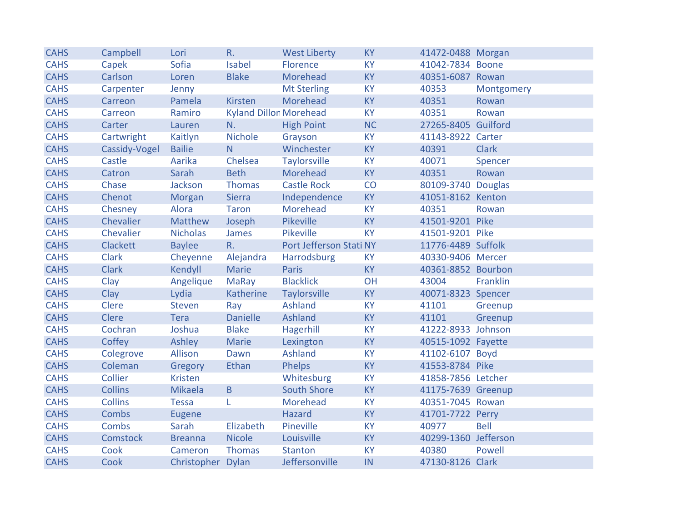| <b>CAHS</b> | Campbell        | Lori              | R.                            | <b>West Liberty</b>     | <b>KY</b> | 41472-0488 Morgan    |              |
|-------------|-----------------|-------------------|-------------------------------|-------------------------|-----------|----------------------|--------------|
| <b>CAHS</b> | Capek           | Sofia             | <b>Isabel</b>                 | Florence                | <b>KY</b> | 41042-7834 Boone     |              |
| <b>CAHS</b> | Carlson         | Loren             | <b>Blake</b>                  | Morehead                | <b>KY</b> | 40351-6087 Rowan     |              |
| <b>CAHS</b> | Carpenter       | Jenny             |                               | <b>Mt Sterling</b>      | <b>KY</b> | 40353                | Montgomery   |
| <b>CAHS</b> | Carreon         | Pamela            | <b>Kirsten</b>                | Morehead                | <b>KY</b> | 40351                | Rowan        |
| <b>CAHS</b> | Carreon         | Ramiro            | <b>Kyland Dillon Morehead</b> |                         | <b>KY</b> | 40351                | Rowan        |
| <b>CAHS</b> | Carter          | Lauren            | N.                            | <b>High Point</b>       | <b>NC</b> | 27265-8405 Guilford  |              |
| <b>CAHS</b> | Cartwright      | Kaitlyn           | Nichole                       | Grayson                 | <b>KY</b> | 41143-8922 Carter    |              |
| <b>CAHS</b> | Cassidy-Vogel   | <b>Bailie</b>     | N                             | Winchester              | <b>KY</b> | 40391                | <b>Clark</b> |
| <b>CAHS</b> | Castle          | Aarika            | Chelsea                       | <b>Taylorsville</b>     | <b>KY</b> | 40071                | Spencer      |
| <b>CAHS</b> | Catron          | Sarah             | <b>Beth</b>                   | Morehead                | <b>KY</b> | 40351                | Rowan        |
| <b>CAHS</b> | Chase           | Jackson           | Thomas                        | <b>Castle Rock</b>      | CO        | 80109-3740 Douglas   |              |
| <b>CAHS</b> | Chenot          | Morgan            | Sierra                        | Independence            | <b>KY</b> | 41051-8162 Kenton    |              |
| <b>CAHS</b> | Chesney         | Alora             | Taron                         | Morehead                | <b>KY</b> | 40351                | Rowan        |
| <b>CAHS</b> | Chevalier       | Matthew           | Joseph                        | Pikeville               | <b>KY</b> | 41501-9201 Pike      |              |
| <b>CAHS</b> | Chevalier       | <b>Nicholas</b>   | James                         | Pikeville               | <b>KY</b> | 41501-9201 Pike      |              |
| <b>CAHS</b> | <b>Clackett</b> | <b>Baylee</b>     | $R_{\cdot}$                   | Port Jefferson Stati NY |           | 11776-4489 Suffolk   |              |
| <b>CAHS</b> | <b>Clark</b>    | Cheyenne          | Alejandra                     | Harrodsburg             | <b>KY</b> | 40330-9406 Mercer    |              |
| <b>CAHS</b> | <b>Clark</b>    | Kendyll           | Marie                         | Paris                   | <b>KY</b> | 40361-8852 Bourbon   |              |
| <b>CAHS</b> | Clay            | Angelique         | <b>MaRay</b>                  | <b>Blacklick</b>        | OH        | 43004                | Franklin     |
| <b>CAHS</b> | Clay            | Lydia             | Katherine                     | <b>Taylorsville</b>     | <b>KY</b> | 40071-8323 Spencer   |              |
| <b>CAHS</b> | Clere           | Steven            | Ray                           | <b>Ashland</b>          | <b>KY</b> | 41101                | Greenup      |
| <b>CAHS</b> | Clere           | Tera              | <b>Danielle</b>               | <b>Ashland</b>          | <b>KY</b> | 41101                | Greenup      |
| <b>CAHS</b> | Cochran         | Joshua            | <b>Blake</b>                  | Hagerhill               | <b>KY</b> | 41222-8933 Johnson   |              |
| <b>CAHS</b> | Coffey          | Ashley            | Marie                         | Lexington               | <b>KY</b> | 40515-1092 Fayette   |              |
| <b>CAHS</b> | Colegrove       | Allison           | Dawn                          | <b>Ashland</b>          | <b>KY</b> | 41102-6107 Boyd      |              |
| <b>CAHS</b> | Coleman         | Gregory           | Ethan                         | Phelps                  | <b>KY</b> | 41553-8784 Pike      |              |
| <b>CAHS</b> | Collier         | Kristen           |                               | Whitesburg              | <b>KY</b> | 41858-7856 Letcher   |              |
| <b>CAHS</b> | <b>Collins</b>  | Mikaela           | B                             | <b>South Shore</b>      | <b>KY</b> | 41175-7639 Greenup   |              |
| <b>CAHS</b> | <b>Collins</b>  | <b>Tessa</b>      | L                             | Morehead                | <b>KY</b> | 40351-7045 Rowan     |              |
| <b>CAHS</b> | Combs           | Eugene            |                               | <b>Hazard</b>           | <b>KY</b> | 41701-7722 Perry     |              |
| <b>CAHS</b> | Combs           | Sarah             | Elizabeth                     | Pineville               | <b>KY</b> | 40977                | <b>Bell</b>  |
| <b>CAHS</b> | <b>Comstock</b> | <b>Breanna</b>    | <b>Nicole</b>                 | Louisville              | <b>KY</b> | 40299-1360 Jefferson |              |
| <b>CAHS</b> | Cook            | Cameron           | Thomas                        | <b>Stanton</b>          | <b>KY</b> | 40380                | Powell       |
| <b>CAHS</b> | Cook            | Christopher Dylan |                               | Jeffersonville          | IN        | 47130-8126 Clark     |              |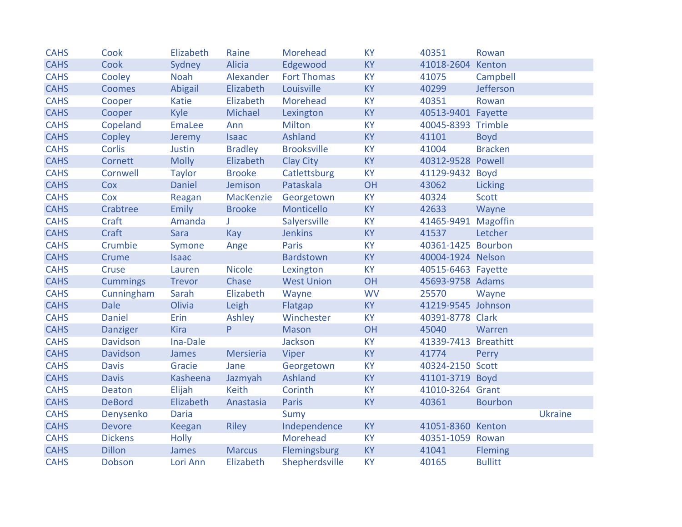| <b>CAHS</b> | Cook            | Elizabeth     | Raine          | Morehead           | <b>KY</b> | 40351                | Rowan          |                |
|-------------|-----------------|---------------|----------------|--------------------|-----------|----------------------|----------------|----------------|
| <b>CAHS</b> | Cook            | Sydney        | <b>Alicia</b>  | Edgewood           | <b>KY</b> | 41018-2604           | Kenton         |                |
| <b>CAHS</b> | Cooley          | Noah          | Alexander      | <b>Fort Thomas</b> | <b>KY</b> | 41075                | Campbell       |                |
| <b>CAHS</b> | <b>Coomes</b>   | Abigail       | Elizabeth      | Louisville         | <b>KY</b> | 40299                | Jefferson      |                |
| <b>CAHS</b> | Cooper          | Katie         | Elizabeth      | Morehead           | <b>KY</b> | 40351                | Rowan          |                |
| <b>CAHS</b> | Cooper          | Kyle          | Michael        | Lexington          | <b>KY</b> | 40513-9401 Fayette   |                |                |
| <b>CAHS</b> | Copeland        | EmaLee        | Ann            | <b>Milton</b>      | <b>KY</b> | 40045-8393 Trimble   |                |                |
| <b>CAHS</b> | Copley          | Jeremy        | <b>Isaac</b>   | <b>Ashland</b>     | KY        | 41101                | <b>Boyd</b>    |                |
| <b>CAHS</b> | <b>Corlis</b>   | Justin        | <b>Bradley</b> | <b>Brooksville</b> | <b>KY</b> | 41004                | <b>Bracken</b> |                |
| <b>CAHS</b> | Cornett         | <b>Molly</b>  | Elizabeth      | <b>Clay City</b>   | <b>KY</b> | 40312-9528 Powell    |                |                |
| <b>CAHS</b> | Cornwell        | <b>Taylor</b> | <b>Brooke</b>  | Catlettsburg       | <b>KY</b> | 41129-9432           | <b>Boyd</b>    |                |
| <b>CAHS</b> | Cox             | <b>Daniel</b> | Jemison        | Pataskala          | OH        | 43062                | Licking        |                |
| <b>CAHS</b> | Cox             | Reagan        | MacKenzie      | Georgetown         | <b>KY</b> | 40324                | <b>Scott</b>   |                |
| <b>CAHS</b> | Crabtree        | <b>Emily</b>  | <b>Brooke</b>  | Monticello         | <b>KY</b> | 42633                | Wayne          |                |
| <b>CAHS</b> | Craft           | Amanda        | J.             | Salyersville       | <b>KY</b> | 41465-9491 Magoffin  |                |                |
| <b>CAHS</b> | Craft           | Sara          | Kay            | <b>Jenkins</b>     | <b>KY</b> | 41537                | Letcher        |                |
| <b>CAHS</b> | Crumbie         | Symone        | Ange           | Paris              | <b>KY</b> | 40361-1425 Bourbon   |                |                |
| <b>CAHS</b> | Crume           | <b>Isaac</b>  |                | Bardstown          | <b>KY</b> | 40004-1924 Nelson    |                |                |
| <b>CAHS</b> | Cruse           | Lauren        | <b>Nicole</b>  | Lexington          | <b>KY</b> | 40515-6463 Fayette   |                |                |
| <b>CAHS</b> | <b>Cummings</b> | <b>Trevor</b> | Chase          | <b>West Union</b>  | OH        | 45693-9758 Adams     |                |                |
| <b>CAHS</b> | Cunningham      | Sarah         | Elizabeth      | Wayne              | <b>WV</b> | 25570                | Wayne          |                |
| <b>CAHS</b> | <b>Dale</b>     | Olivia        | Leigh          | Flatgap            | <b>KY</b> | 41219-9545 Johnson   |                |                |
| <b>CAHS</b> | <b>Daniel</b>   | Erin          | Ashley         | Winchester         | <b>KY</b> | 40391-8778 Clark     |                |                |
| <b>CAHS</b> | <b>Danziger</b> | <b>Kira</b>   | P              | <b>Mason</b>       | OH        | 45040                | Warren         |                |
| <b>CAHS</b> | <b>Davidson</b> | Ina-Dale      |                | Jackson            | <b>KY</b> | 41339-7413 Breathitt |                |                |
| <b>CAHS</b> | <b>Davidson</b> | James         | Mersieria      | Viper              | <b>KY</b> | 41774                | Perry          |                |
| <b>CAHS</b> | <b>Davis</b>    | Gracie        | Jane           | Georgetown         | <b>KY</b> | 40324-2150 Scott     |                |                |
| <b>CAHS</b> | <b>Davis</b>    | Kasheena      | Jazmyah        | <b>Ashland</b>     | <b>KY</b> | 41101-3719 Boyd      |                |                |
| <b>CAHS</b> | Deaton          | Elijah        | <b>Keith</b>   | Corinth            | <b>KY</b> | 41010-3264 Grant     |                |                |
| <b>CAHS</b> | <b>DeBord</b>   | Elizabeth     | Anastasia      | Paris              | <b>KY</b> | 40361                | <b>Bourbon</b> |                |
| <b>CAHS</b> | Denysenko       | <b>Daria</b>  |                | Sumy               |           |                      |                | <b>Ukraine</b> |
| <b>CAHS</b> | <b>Devore</b>   | Keegan        | <b>Riley</b>   | Independence       | KY        | 41051-8360 Kenton    |                |                |
| <b>CAHS</b> | <b>Dickens</b>  | <b>Holly</b>  |                | Morehead           | <b>KY</b> | 40351-1059 Rowan     |                |                |
| <b>CAHS</b> | <b>Dillon</b>   | James         | <b>Marcus</b>  | Flemingsburg       | <b>KY</b> | 41041                | Fleming        |                |
| <b>CAHS</b> | Dobson          | Lori Ann      | Elizabeth      | Shepherdsville     | <b>KY</b> | 40165                | <b>Bullitt</b> |                |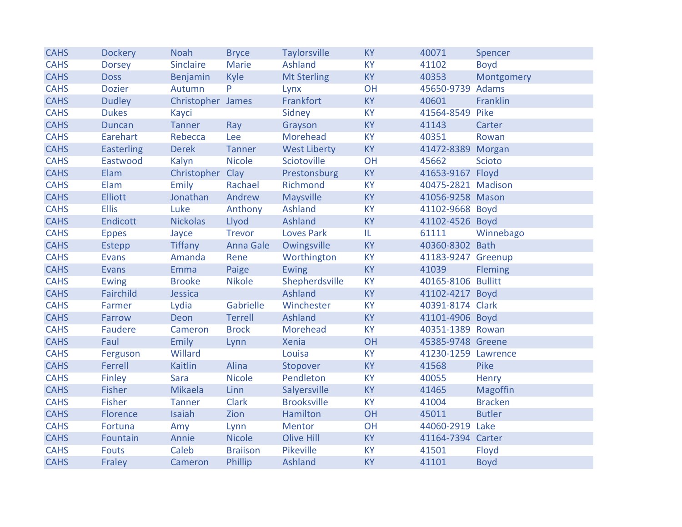| <b>CAHS</b> | <b>Dockery</b>    | <b>Noah</b>       | <b>Bryce</b>    | <b>Taylorsville</b> | <b>KY</b> | 40071               | Spencer        |
|-------------|-------------------|-------------------|-----------------|---------------------|-----------|---------------------|----------------|
| <b>CAHS</b> | <b>Dorsey</b>     | Sinclaire         | Marie           | Ashland             | <b>KY</b> | 41102               | <b>Boyd</b>    |
| <b>CAHS</b> | <b>Doss</b>       | Benjamin          | <b>Kyle</b>     | <b>Mt Sterling</b>  | <b>KY</b> | 40353               | Montgomery     |
| <b>CAHS</b> | <b>Dozier</b>     | Autumn            | P               | Lynx                | OH        | 45650-9739 Adams    |                |
| <b>CAHS</b> | <b>Dudley</b>     | Christopher James |                 | Frankfort           | <b>KY</b> | 40601               | Franklin       |
| <b>CAHS</b> | <b>Dukes</b>      | Kayci             |                 | Sidney              | <b>KY</b> | 41564-8549 Pike     |                |
| <b>CAHS</b> | <b>Duncan</b>     | <b>Tanner</b>     | Ray             | Grayson             | <b>KY</b> | 41143               | Carter         |
| <b>CAHS</b> | Earehart          | Rebecca           | Lee             | Morehead            | <b>KY</b> | 40351               | Rowan          |
| <b>CAHS</b> | <b>Easterling</b> | <b>Derek</b>      | Tanner          | <b>West Liberty</b> | <b>KY</b> | 41472-8389 Morgan   |                |
| <b>CAHS</b> | Eastwood          | Kalyn             | <b>Nicole</b>   | Sciotoville         | OH        | 45662               | <b>Scioto</b>  |
| <b>CAHS</b> | Elam              | Christopher Clay  |                 | Prestonsburg        | <b>KY</b> | 41653-9167 Floyd    |                |
| <b>CAHS</b> | Elam              | Emily             | Rachael         | Richmond            | <b>KY</b> | 40475-2821 Madison  |                |
| <b>CAHS</b> | <b>Elliott</b>    | Jonathan          | Andrew          | Maysville           | <b>KY</b> | 41056-9258 Mason    |                |
| <b>CAHS</b> | <b>Ellis</b>      | Luke              | Anthony         | Ashland             | <b>KY</b> | 41102-9668 Boyd     |                |
| <b>CAHS</b> | <b>Endicott</b>   | <b>Nickolas</b>   | Llyod           | Ashland             | KY        | 41102-4526 Boyd     |                |
| <b>CAHS</b> | <b>Eppes</b>      | Jayce             | <b>Trevor</b>   | <b>Loves Park</b>   | IL.       | 61111               | Winnebago      |
| <b>CAHS</b> | Estepp            | <b>Tiffany</b>    | Anna Gale       | Owingsville         | <b>KY</b> | 40360-8302 Bath     |                |
| <b>CAHS</b> | <b>Evans</b>      | Amanda            | Rene            | Worthington         | <b>KY</b> | 41183-9247 Greenup  |                |
| <b>CAHS</b> | <b>Evans</b>      | Emma              | Paige           | Ewing               | <b>KY</b> | 41039               | <b>Fleming</b> |
| <b>CAHS</b> | <b>Ewing</b>      | <b>Brooke</b>     | <b>Nikole</b>   | Shepherdsville      | <b>KY</b> | 40165-8106 Bullitt  |                |
| <b>CAHS</b> | Fairchild         | Jessica           |                 | Ashland             | <b>KY</b> | 41102-4217 Boyd     |                |
| <b>CAHS</b> | Farmer            | Lydia             | Gabrielle       | Winchester          | <b>KY</b> | 40391-8174 Clark    |                |
| <b>CAHS</b> | Farrow            | <b>Deon</b>       | Terrell         | Ashland             | <b>KY</b> | 41101-4906 Boyd     |                |
| <b>CAHS</b> | <b>Faudere</b>    | Cameron           | <b>Brock</b>    | Morehead            | <b>KY</b> | 40351-1389 Rowan    |                |
| <b>CAHS</b> | Faul              | <b>Emily</b>      | Lynn            | <b>Xenia</b>        | OH        | 45385-9748 Greene   |                |
| <b>CAHS</b> | Ferguson          | Willard           |                 | Louisa              | <b>KY</b> | 41230-1259 Lawrence |                |
| <b>CAHS</b> | Ferrell           | Kaitlin           | Alina           | Stopover            | <b>KY</b> | 41568               | Pike           |
| <b>CAHS</b> | Finley            | Sara              | <b>Nicole</b>   | Pendleton           | <b>KY</b> | 40055               | Henry          |
| <b>CAHS</b> | <b>Fisher</b>     | Mikaela           | Linn            | Salyersville        | <b>KY</b> | 41465               | Magoffin       |
| <b>CAHS</b> | <b>Fisher</b>     | Tanner            | <b>Clark</b>    | <b>Brooksville</b>  | <b>KY</b> | 41004               | <b>Bracken</b> |
| <b>CAHS</b> | Florence          | Isaiah            | Zion            | Hamilton            | OH        | 45011               | <b>Butler</b>  |
| <b>CAHS</b> | Fortuna           | Amy               | Lynn            | Mentor              | OH        | 44060-2919 Lake     |                |
| <b>CAHS</b> | Fountain          | Annie             | <b>Nicole</b>   | <b>Olive Hill</b>   | <b>KY</b> | 41164-7394 Carter   |                |
| <b>CAHS</b> | <b>Fouts</b>      | Caleb             | <b>Braiison</b> | Pikeville           | <b>KY</b> | 41501               | Floyd          |
| <b>CAHS</b> | Fraley            | Cameron           | Phillip         | Ashland             | <b>KY</b> | 41101               | <b>Boyd</b>    |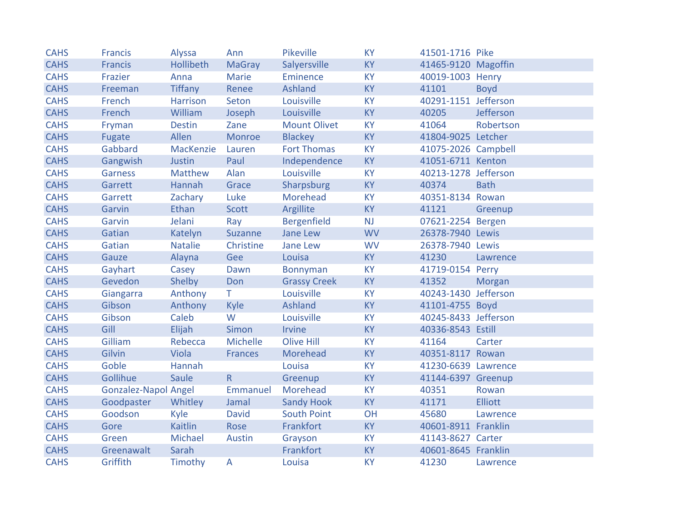| <b>CAHS</b> | <b>Francis</b>              | Alyssa           | Ann             | Pikeville           | <b>KY</b> | 41501-1716 Pike      |                |
|-------------|-----------------------------|------------------|-----------------|---------------------|-----------|----------------------|----------------|
| <b>CAHS</b> | <b>Francis</b>              | <b>Hollibeth</b> | <b>MaGray</b>   | Salyersville        | <b>KY</b> | 41465-9120 Magoffin  |                |
| <b>CAHS</b> | Frazier                     | Anna             | Marie           | Eminence            | <b>KY</b> | 40019-1003 Henry     |                |
| <b>CAHS</b> | Freeman                     | <b>Tiffany</b>   | Renee           | Ashland             | <b>KY</b> | 41101                | <b>Boyd</b>    |
| <b>CAHS</b> | French                      | Harrison         | Seton           | Louisville          | <b>KY</b> | 40291-1151 Jefferson |                |
| <b>CAHS</b> | French                      | William          | Joseph          | Louisville          | <b>KY</b> | 40205                | Jefferson      |
| <b>CAHS</b> | Fryman                      | <b>Destin</b>    | Zane            | <b>Mount Olivet</b> | <b>KY</b> | 41064                | Robertson      |
| <b>CAHS</b> | Fugate                      | Allen            | Monroe          | <b>Blackey</b>      | KY        | 41804-9025 Letcher   |                |
| <b>CAHS</b> | Gabbard                     | MacKenzie        | Lauren          | <b>Fort Thomas</b>  | <b>KY</b> | 41075-2026 Campbell  |                |
| <b>CAHS</b> | Gangwish                    | Justin           | Paul            | Independence        | <b>KY</b> | 41051-6711 Kenton    |                |
| <b>CAHS</b> | <b>Garness</b>              | Matthew          | Alan            | Louisville          | <b>KY</b> | 40213-1278 Jefferson |                |
| <b>CAHS</b> | Garrett                     | Hannah           | Grace           | Sharpsburg          | <b>KY</b> | 40374                | <b>Bath</b>    |
| <b>CAHS</b> | Garrett                     | Zachary          | Luke            | Morehead            | <b>KY</b> | 40351-8134 Rowan     |                |
| <b>CAHS</b> | Garvin                      | Ethan            | Scott           | Argillite           | <b>KY</b> | 41121                | Greenup        |
| <b>CAHS</b> | Garvin                      | Jelani           | Ray             | <b>Bergenfield</b>  | <b>NJ</b> | 07621-2254 Bergen    |                |
| <b>CAHS</b> | Gatian                      | Katelyn          | Suzanne         | Jane Lew            | <b>WV</b> | 26378-7940 Lewis     |                |
| <b>CAHS</b> | Gatian                      | <b>Natalie</b>   | Christine       | Jane Lew            | <b>WV</b> | 26378-7940 Lewis     |                |
| <b>CAHS</b> | Gauze                       | Alayna           | Gee             | Louisa              | <b>KY</b> | 41230                | Lawrence       |
| <b>CAHS</b> | Gayhart                     | Casey            | Dawn            | <b>Bonnyman</b>     | <b>KY</b> | 41719-0154 Perry     |                |
| <b>CAHS</b> | Gevedon                     | Shelby           | Don             | <b>Grassy Creek</b> | <b>KY</b> | 41352                | Morgan         |
| <b>CAHS</b> | Giangarra                   | Anthony          | T.              | Louisville          | <b>KY</b> | 40243-1430 Jefferson |                |
| <b>CAHS</b> | Gibson                      | Anthony          | Kyle            | <b>Ashland</b>      | KY        | 41101-4755 Boyd      |                |
| <b>CAHS</b> | Gibson                      | Caleb            | W               | Louisville          | <b>KY</b> | 40245-8433 Jefferson |                |
| <b>CAHS</b> | Gill                        | Elijah           | Simon           | Irvine              | <b>KY</b> | 40336-8543 Estill    |                |
| <b>CAHS</b> | Gilliam                     | Rebecca          | <b>Michelle</b> | <b>Olive Hill</b>   | <b>KY</b> | 41164                | Carter         |
| <b>CAHS</b> | Gilvin                      | Viola            | Frances         | Morehead            | <b>KY</b> | 40351-8117 Rowan     |                |
| <b>CAHS</b> | Goble                       | Hannah           |                 | Louisa              | <b>KY</b> | 41230-6639 Lawrence  |                |
| <b>CAHS</b> | Gollihue                    | Saule            | R               | Greenup             | <b>KY</b> | 41144-6397 Greenup   |                |
| <b>CAHS</b> | <b>Gonzalez-Napol Angel</b> |                  | Emmanuel        | Morehead            | <b>KY</b> | 40351                | Rowan          |
| <b>CAHS</b> | Goodpaster                  | Whitley          | Jamal           | <b>Sandy Hook</b>   | <b>KY</b> | 41171                | <b>Elliott</b> |
| <b>CAHS</b> | Goodson                     | Kyle             | <b>David</b>    | <b>South Point</b>  | OH        | 45680                | Lawrence       |
| <b>CAHS</b> | Gore                        | Kaitlin          | Rose            | Frankfort           | <b>KY</b> | 40601-8911 Franklin  |                |
| <b>CAHS</b> | Green                       | Michael          | Austin          | Grayson             | <b>KY</b> | 41143-8627 Carter    |                |
| <b>CAHS</b> | Greenawalt                  | Sarah            |                 | Frankfort           | <b>KY</b> | 40601-8645 Franklin  |                |
| <b>CAHS</b> | Griffith                    | Timothy          | A               | Louisa              | <b>KY</b> | 41230                | Lawrence       |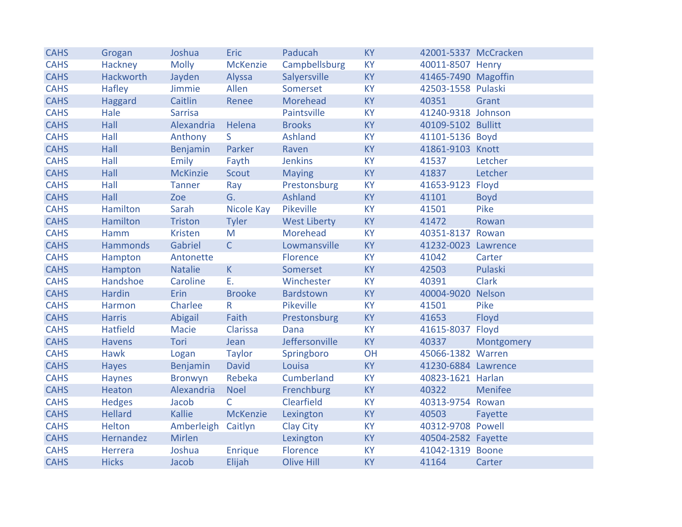| <b>CAHS</b> | Grogan           | Joshua          | <b>Eric</b>     | Paducah             | <b>KY</b> | 42001-5337 McCracken |              |
|-------------|------------------|-----------------|-----------------|---------------------|-----------|----------------------|--------------|
| <b>CAHS</b> | Hackney          | <b>Molly</b>    | <b>McKenzie</b> | Campbellsburg       | KY        | 40011-8507 Henry     |              |
| <b>CAHS</b> | <b>Hackworth</b> | Jayden          | Alyssa          | Salyersville        | <b>KY</b> | 41465-7490 Magoffin  |              |
| <b>CAHS</b> | <b>Hafley</b>    | Jimmie          | Allen           | Somerset            | <b>KY</b> | 42503-1558 Pulaski   |              |
| <b>CAHS</b> | Haggard          | Caitlin         | Renee           | Morehead            | <b>KY</b> | 40351                | Grant        |
| <b>CAHS</b> | Hale             | <b>Sarrisa</b>  |                 | Paintsville         | KY        | 41240-9318 Johnson   |              |
| <b>CAHS</b> | Hall             | Alexandria      | Helena          | <b>Brooks</b>       | <b>KY</b> | 40109-5102 Bullitt   |              |
| <b>CAHS</b> | Hall             | Anthony         | S.              | Ashland             | KY        | 41101-5136 Boyd      |              |
| <b>CAHS</b> | Hall             | Benjamin        | Parker          | Raven               | <b>KY</b> | 41861-9103 Knott     |              |
| <b>CAHS</b> | Hall             | Emily           | Fayth           | <b>Jenkins</b>      | <b>KY</b> | 41537                | Letcher      |
| <b>CAHS</b> | Hall             | <b>McKinzie</b> | Scout           | <b>Maying</b>       | KY        | 41837                | Letcher      |
| <b>CAHS</b> | Hall             | <b>Tanner</b>   | Ray             | Prestonsburg        | <b>KY</b> | 41653-9123           | Floyd        |
| <b>CAHS</b> | Hall             | Zoe             | G.              | Ashland             | <b>KY</b> | 41101                | <b>Boyd</b>  |
| <b>CAHS</b> | <b>Hamilton</b>  | Sarah           | Nicole Kay      | Pikeville           | <b>KY</b> | 41501                | Pike         |
| <b>CAHS</b> | <b>Hamilton</b>  | Triston         | Tyler           | <b>West Liberty</b> | KY        | 41472                | Rowan        |
| <b>CAHS</b> | Hamm             | <b>Kristen</b>  | M               | Morehead            | <b>KY</b> | 40351-8137 Rowan     |              |
| <b>CAHS</b> | <b>Hammonds</b>  | Gabriel         | $\mathsf{C}$    | Lowmansville        | <b>KY</b> | 41232-0023 Lawrence  |              |
| <b>CAHS</b> | Hampton          | Antonette       |                 | Florence            | <b>KY</b> | 41042                | Carter       |
| <b>CAHS</b> | Hampton          | Natalie         | K               | Somerset            | <b>KY</b> | 42503                | Pulaski      |
| <b>CAHS</b> | Handshoe         | Caroline        | Ε.              | Winchester          | <b>KY</b> | 40391                | <b>Clark</b> |
| <b>CAHS</b> | <b>Hardin</b>    | <b>Erin</b>     | <b>Brooke</b>   | <b>Bardstown</b>    | <b>KY</b> | 40004-9020 Nelson    |              |
| <b>CAHS</b> | Harmon           | Charlee         | R               | Pikeville           | KY        | 41501                | Pike         |
| <b>CAHS</b> | <b>Harris</b>    | Abigail         | Faith           | Prestonsburg        | KY        | 41653                | Floyd        |
| <b>CAHS</b> | <b>Hatfield</b>  | Macie           | Clarissa        | Dana                | <b>KY</b> | 41615-8037           | Floyd        |
| <b>CAHS</b> | <b>Havens</b>    | Tori            | Jean            | Jeffersonville      | <b>KY</b> | 40337                | Montgomery   |
| <b>CAHS</b> | <b>Hawk</b>      | Logan           | <b>Taylor</b>   | Springboro          | OH        | 45066-1382 Warren    |              |
| <b>CAHS</b> | <b>Hayes</b>     | Benjamin        | <b>David</b>    | Louisa              | <b>KY</b> | 41230-6884 Lawrence  |              |
| <b>CAHS</b> | <b>Haynes</b>    | Bronwyn         | Rebeka          | Cumberland          | <b>KY</b> | 40823-1621 Harlan    |              |
| <b>CAHS</b> | Heaton           | Alexandria      | <b>Noel</b>     | Frenchburg          | <b>KY</b> | 40322                | Menifee      |
| <b>CAHS</b> | <b>Hedges</b>    | Jacob           | $\mathsf{C}$    | Clearfield          | <b>KY</b> | 40313-9754 Rowan     |              |
| <b>CAHS</b> | <b>Hellard</b>   | Kallie          | <b>McKenzie</b> | Lexington           | <b>KY</b> | 40503                | Fayette      |
| <b>CAHS</b> | <b>Helton</b>    | Amberleigh      | Caitlyn         | <b>Clay City</b>    | <b>KY</b> | 40312-9708 Powell    |              |
| <b>CAHS</b> | Hernandez        | <b>Mirlen</b>   |                 | Lexington           | <b>KY</b> | 40504-2582 Fayette   |              |
| <b>CAHS</b> | Herrera          | Joshua          | <b>Enrique</b>  | Florence            | KY        | 41042-1319 Boone     |              |
| <b>CAHS</b> | <b>Hicks</b>     | Jacob           | Elijah          | <b>Olive Hill</b>   | <b>KY</b> | 41164                | Carter       |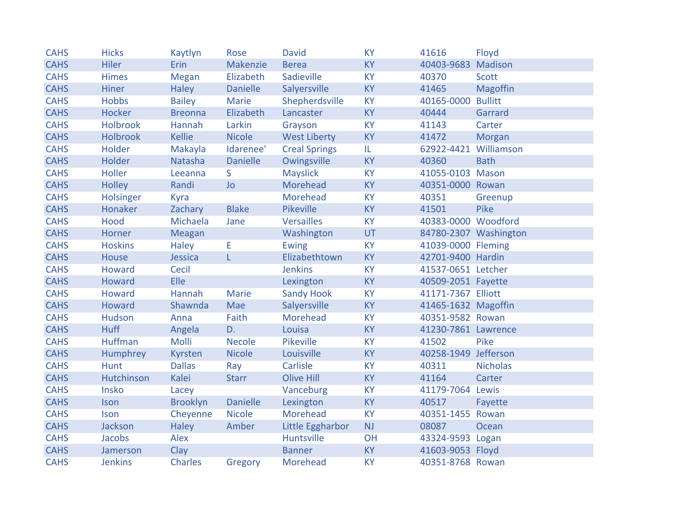| <b>CAHS</b> | <b>Hicks</b>    | Kaytlyn         | Rose            | <b>David</b>         | <b>KY</b> | 41616                 | Floyd                 |
|-------------|-----------------|-----------------|-----------------|----------------------|-----------|-----------------------|-----------------------|
| <b>CAHS</b> | <b>Hiler</b>    | Erin            | Makenzie        | <b>Berea</b>         | <b>KY</b> | 40403-9683            | Madison               |
| <b>CAHS</b> | <b>Himes</b>    | Megan           | Elizabeth       | Sadieville           | <b>KY</b> | 40370                 | <b>Scott</b>          |
| <b>CAHS</b> | <b>Hiner</b>    | Haley           | <b>Danielle</b> | Salyersville         | <b>KY</b> | 41465                 | <b>Magoffin</b>       |
| <b>CAHS</b> | <b>Hobbs</b>    | <b>Bailey</b>   | <b>Marie</b>    | Shepherdsville       | <b>KY</b> | 40165-0000 Bullitt    |                       |
| <b>CAHS</b> | Hocker          | <b>Breonna</b>  | Elizabeth       | Lancaster            | <b>KY</b> | 40444                 | Garrard               |
| <b>CAHS</b> | <b>Holbrook</b> | Hannah          | Larkin          | Grayson              | KY        | 41143                 | Carter                |
| <b>CAHS</b> | <b>Holbrook</b> | <b>Kellie</b>   | <b>Nicole</b>   | <b>West Liberty</b>  | <b>KY</b> | 41472                 | Morgan                |
| <b>CAHS</b> | Holder          | Makayla         | Idarenee'       | <b>Creal Springs</b> | IL.       | 62922-4421 Williamson |                       |
| <b>CAHS</b> | Holder          | Natasha         | <b>Danielle</b> | Owingsville          | <b>KY</b> | 40360                 | <b>Bath</b>           |
| <b>CAHS</b> | Holler          | Leeanna         | S.              | <b>Mayslick</b>      | KY        | 41055-0103 Mason      |                       |
| <b>CAHS</b> | <b>Holley</b>   | Randi           | <b>Jo</b>       | Morehead             | <b>KY</b> | 40351-0000 Rowan      |                       |
| <b>CAHS</b> | Holsinger       | Kyra            |                 | Morehead             | <b>KY</b> | 40351                 | Greenup               |
| <b>CAHS</b> | Honaker         | Zachary         | <b>Blake</b>    | Pikeville            | <b>KY</b> | 41501                 | Pike                  |
| <b>CAHS</b> | Hood            | Michaela        | Jane            | <b>Versailles</b>    | KY        | 40383-0000 Woodford   |                       |
| <b>CAHS</b> | Horner          | Meagan          |                 | Washington           | UT        |                       | 84780-2307 Washington |
| <b>CAHS</b> | <b>Hoskins</b>  | <b>Haley</b>    | E               | <b>Ewing</b>         | <b>KY</b> | 41039-0000 Fleming    |                       |
| <b>CAHS</b> | <b>House</b>    | Jessica         | L               | Elizabethtown        | <b>KY</b> | 42701-9400 Hardin     |                       |
| <b>CAHS</b> | <b>Howard</b>   | Cecil           |                 | <b>Jenkins</b>       | <b>KY</b> | 41537-0651 Letcher    |                       |
| <b>CAHS</b> | <b>Howard</b>   | <b>Elle</b>     |                 | Lexington            | <b>KY</b> | 40509-2051 Fayette    |                       |
| <b>CAHS</b> | Howard          | Hannah          | Marie           | <b>Sandy Hook</b>    | <b>KY</b> | 41171-7367 Elliott    |                       |
| <b>CAHS</b> | Howard          | Shawnda         | Mae             | Salyersville         | <b>KY</b> | 41465-1632 Magoffin   |                       |
| <b>CAHS</b> | Hudson          | Anna            | Faith           | Morehead             | <b>KY</b> | 40351-9582 Rowan      |                       |
| <b>CAHS</b> | <b>Huff</b>     | Angela          | D.              | Louisa               | KY        | 41230-7861 Lawrence   |                       |
| <b>CAHS</b> | <b>Huffman</b>  | Molli           | <b>Necole</b>   | Pikeville            | <b>KY</b> | 41502                 | Pike                  |
| <b>CAHS</b> | Humphrey        | Kyrsten         | <b>Nicole</b>   | Louisville           | <b>KY</b> | 40258-1949 Jefferson  |                       |
| <b>CAHS</b> | <b>Hunt</b>     | <b>Dallas</b>   | Ray             | Carlisle             | <b>KY</b> | 40311                 | <b>Nicholas</b>       |
| <b>CAHS</b> | Hutchinson      | Kalei           | <b>Starr</b>    | Olive Hill           | KY        | 41164                 | Carter                |
| <b>CAHS</b> | Insko           | Lacey           |                 | Vanceburg            | <b>KY</b> | 41179-7064 Lewis      |                       |
| <b>CAHS</b> | Ison            | <b>Brooklyn</b> | <b>Danielle</b> | Lexington            | <b>KY</b> | 40517                 | Fayette               |
| <b>CAHS</b> | Ison            | Cheyenne        | <b>Nicole</b>   | Morehead             | <b>KY</b> | 40351-1455 Rowan      |                       |
| <b>CAHS</b> | Jackson         | <b>Haley</b>    | Amber           | Little Eggharbor     | NJ        | 08087                 | Ocean                 |
| <b>CAHS</b> | Jacobs          | Alex            |                 | Huntsville           | OH        | 43324-9593 Logan      |                       |
| <b>CAHS</b> | Jamerson        | Clay            |                 | <b>Banner</b>        | <b>KY</b> | 41603-9053 Floyd      |                       |
| <b>CAHS</b> | <b>Jenkins</b>  | <b>Charles</b>  | Gregory         | Morehead             | KY        | 40351-8768 Rowan      |                       |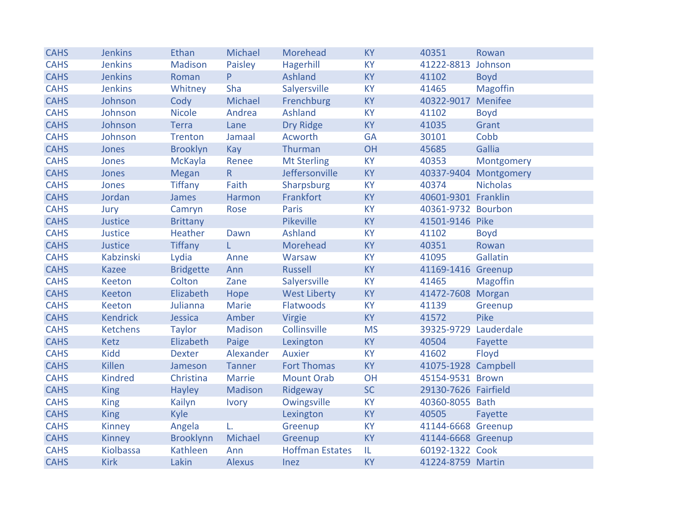| <b>CAHS</b> | <b>Jenkins</b>  | Ethan            | Michael       | Morehead               | <b>KY</b> | 40351                | Rowan                 |
|-------------|-----------------|------------------|---------------|------------------------|-----------|----------------------|-----------------------|
| <b>CAHS</b> | <b>Jenkins</b>  | Madison          | Paisley       | Hagerhill              | <b>KY</b> | 41222-8813           | Johnson               |
| <b>CAHS</b> | <b>Jenkins</b>  | Roman            | P.            | Ashland                | <b>KY</b> | 41102                | <b>Boyd</b>           |
| <b>CAHS</b> | <b>Jenkins</b>  | Whitney          | Sha           | Salyersville           | <b>KY</b> | 41465                | <b>Magoffin</b>       |
| <b>CAHS</b> | Johnson         | Cody             | Michael       | Frenchburg             | <b>KY</b> | 40322-9017 Menifee   |                       |
| <b>CAHS</b> | Johnson         | <b>Nicole</b>    | Andrea        | <b>Ashland</b>         | <b>KY</b> | 41102                | <b>Boyd</b>           |
| <b>CAHS</b> | Johnson         | <b>Terra</b>     | Lane          | Dry Ridge              | KY        | 41035                | Grant                 |
| <b>CAHS</b> | Johnson         | <b>Trenton</b>   | Jamaal        | Acworth                | <b>GA</b> | 30101                | Cobb                  |
| <b>CAHS</b> | Jones           | <b>Brooklyn</b>  | Kay           | Thurman                | OH        | 45685                | Gallia                |
| <b>CAHS</b> | Jones           | McKayla          | Renee         | <b>Mt Sterling</b>     | <b>KY</b> | 40353                | Montgomery            |
| <b>CAHS</b> | Jones           | Megan            | R             | Jeffersonville         | <b>KY</b> |                      | 40337-9404 Montgomery |
| <b>CAHS</b> | Jones           | <b>Tiffany</b>   | Faith         | Sharpsburg             | <b>KY</b> | 40374                | <b>Nicholas</b>       |
| <b>CAHS</b> | Jordan          | James            | Harmon        | Frankfort              | KY        | 40601-9301 Franklin  |                       |
| <b>CAHS</b> | Jury            | Camryn           | Rose          | <b>Paris</b>           | <b>KY</b> | 40361-9732 Bourbon   |                       |
| <b>CAHS</b> | Justice         | <b>Brittany</b>  |               | Pikeville              | <b>KY</b> | 41501-9146 Pike      |                       |
| <b>CAHS</b> | Justice         | Heather          | Dawn          | <b>Ashland</b>         | <b>KY</b> | 41102                | <b>Boyd</b>           |
| <b>CAHS</b> | <b>Justice</b>  | <b>Tiffany</b>   | L.            | Morehead               | KY        | 40351                | Rowan                 |
| <b>CAHS</b> | Kabzinski       | Lydia            | Anne          | Warsaw                 | <b>KY</b> | 41095                | Gallatin              |
| <b>CAHS</b> | <b>Kazee</b>    | <b>Bridgette</b> | Ann           | <b>Russell</b>         | <b>KY</b> | 41169-1416 Greenup   |                       |
| <b>CAHS</b> | <b>Keeton</b>   | Colton           | Zane          | Salyersville           | <b>KY</b> | 41465                | <b>Magoffin</b>       |
| <b>CAHS</b> | <b>Keeton</b>   | Elizabeth        | Hope          | <b>West Liberty</b>    | KY        | 41472-7608 Morgan    |                       |
| <b>CAHS</b> | <b>Keeton</b>   | Julianna         | <b>Marie</b>  | Flatwoods              | KY        | 41139                | Greenup               |
| <b>CAHS</b> | <b>Kendrick</b> | Jessica          | Amber         | Virgie                 | KY        | 41572                | Pike                  |
| <b>CAHS</b> | <b>Ketchens</b> | <b>Taylor</b>    | Madison       | Collinsville           | <b>MS</b> | 39325-9729           | Lauderdale            |
| <b>CAHS</b> | Ketz            | Elizabeth        | Paige         | Lexington              | <b>KY</b> | 40504                | Fayette               |
| <b>CAHS</b> | <b>Kidd</b>     | <b>Dexter</b>    | Alexander     | <b>Auxier</b>          | <b>KY</b> | 41602                | Floyd                 |
| <b>CAHS</b> | Killen          | Jameson          | Tanner        | <b>Fort Thomas</b>     | <b>KY</b> | 41075-1928 Campbell  |                       |
| <b>CAHS</b> | <b>Kindred</b>  | Christina        | Marrie        | <b>Mount Orab</b>      | OH        | 45154-9531 Brown     |                       |
| <b>CAHS</b> | <b>King</b>     | <b>Hayley</b>    | Madison       | Ridgeway               | <b>SC</b> | 29130-7626 Fairfield |                       |
| <b>CAHS</b> | <b>King</b>     | Kailyn           | <b>Ivory</b>  | Owingsville            | <b>KY</b> | 40360-8055 Bath      |                       |
| <b>CAHS</b> | <b>King</b>     | <b>Kyle</b>      |               | Lexington              | <b>KY</b> | 40505                | Fayette               |
| <b>CAHS</b> | <b>Kinney</b>   | Angela           | L.            | Greenup                | <b>KY</b> | 41144-6668 Greenup   |                       |
| <b>CAHS</b> | <b>Kinney</b>   | Brooklynn        | Michael       | Greenup                | <b>KY</b> | 41144-6668 Greenup   |                       |
| <b>CAHS</b> | Kiolbassa       | Kathleen         | Ann           | <b>Hoffman Estates</b> | IL        | 60192-1322 Cook      |                       |
| <b>CAHS</b> | <b>Kirk</b>     | Lakin            | <b>Alexus</b> | Inez                   | <b>KY</b> | 41224-8759 Martin    |                       |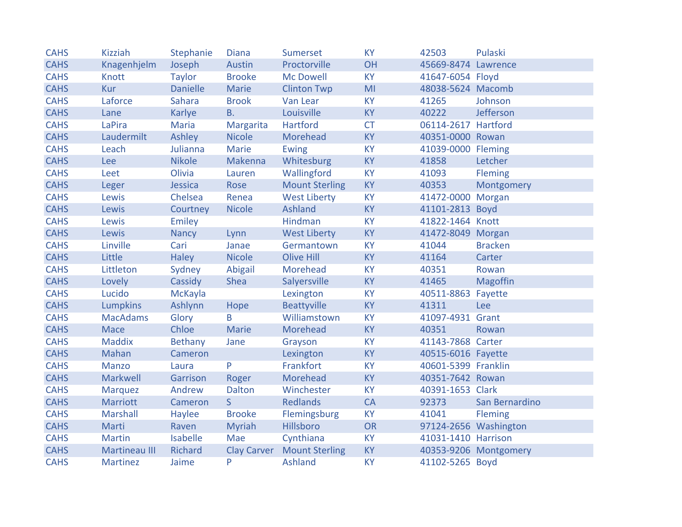| <b>CAHS</b> | <b>Kizziah</b>  | Stephanie       | <b>Diana</b>       | <b>Sumerset</b>       | <b>KY</b> | 42503               | Pulaski               |
|-------------|-----------------|-----------------|--------------------|-----------------------|-----------|---------------------|-----------------------|
| <b>CAHS</b> | Knagenhjelm     | Joseph          | Austin             | Proctorville          | <b>OH</b> | 45669-8474 Lawrence |                       |
| <b>CAHS</b> | <b>Knott</b>    | <b>Taylor</b>   | <b>Brooke</b>      | <b>Mc Dowell</b>      | <b>KY</b> | 41647-6054 Floyd    |                       |
| <b>CAHS</b> | <b>Kur</b>      | <b>Danielle</b> | Marie              | <b>Clinton Twp</b>    | MI        | 48038-5624 Macomb   |                       |
| <b>CAHS</b> | Laforce         | <b>Sahara</b>   | <b>Brook</b>       | Van Lear              | <b>KY</b> | 41265               | Johnson               |
| <b>CAHS</b> | Lane            | Karlye          | <b>B.</b>          | Louisville            | <b>KY</b> | 40222               | Jefferson             |
| <b>CAHS</b> | LaPira          | Maria           | Margarita          | Hartford              | <b>CT</b> | 06114-2617 Hartford |                       |
| <b>CAHS</b> | Laudermilt      | Ashley          | <b>Nicole</b>      | Morehead              | <b>KY</b> | 40351-0000 Rowan    |                       |
| <b>CAHS</b> | Leach           | Julianna        | <b>Marie</b>       | Ewing                 | <b>KY</b> | 41039-0000 Fleming  |                       |
| <b>CAHS</b> | Lee             | <b>Nikole</b>   | Makenna            | Whitesburg            | <b>KY</b> | 41858               | Letcher               |
| <b>CAHS</b> | Leet            | Olivia          | Lauren             | Wallingford           | <b>KY</b> | 41093               | Fleming               |
| <b>CAHS</b> | Leger           | Jessica         | Rose               | <b>Mount Sterling</b> | <b>KY</b> | 40353               | Montgomery            |
| <b>CAHS</b> | Lewis           | Chelsea         | Renea              | <b>West Liberty</b>   | KY        | 41472-0000 Morgan   |                       |
| <b>CAHS</b> | Lewis           | Courtney        | <b>Nicole</b>      | <b>Ashland</b>        | <b>KY</b> | 41101-2813 Boyd     |                       |
| <b>CAHS</b> | Lewis           | Emiley          |                    | Hindman               | <b>KY</b> | 41822-1464 Knott    |                       |
| <b>CAHS</b> | Lewis           | <b>Nancy</b>    | Lynn               | <b>West Liberty</b>   | <b>KY</b> | 41472-8049 Morgan   |                       |
| <b>CAHS</b> | Linville        | Cari            | Janae              | Germantown            | <b>KY</b> | 41044               | <b>Bracken</b>        |
| <b>CAHS</b> | Little          | <b>Haley</b>    | <b>Nicole</b>      | <b>Olive Hill</b>     | <b>KY</b> | 41164               | Carter                |
| <b>CAHS</b> | Littleton       | Sydney          | Abigail            | Morehead              | <b>KY</b> | 40351               | Rowan                 |
| <b>CAHS</b> | Lovely          | Cassidy         | Shea               | Salyersville          | <b>KY</b> | 41465               | Magoffin              |
| <b>CAHS</b> | Lucido          | McKayla         |                    | Lexington             | <b>KY</b> | 40511-8863 Fayette  |                       |
| <b>CAHS</b> | <b>Lumpkins</b> | Ashlynn         | Hope               | Beattyville           | <b>KY</b> | 41311               | Lee                   |
| <b>CAHS</b> | <b>MacAdams</b> | Glory           | B                  | Williamstown          | <b>KY</b> | 41097-4931 Grant    |                       |
| <b>CAHS</b> | <b>Mace</b>     | Chloe           | Marie              | Morehead              | <b>KY</b> | 40351               | Rowan                 |
| <b>CAHS</b> | <b>Maddix</b>   | <b>Bethany</b>  | Jane               | Grayson               | <b>KY</b> | 41143-7868 Carter   |                       |
| <b>CAHS</b> | Mahan           | Cameron         |                    | Lexington             | <b>KY</b> | 40515-6016 Fayette  |                       |
| <b>CAHS</b> | Manzo           | Laura           | P                  | Frankfort             | <b>KY</b> | 40601-5399 Franklin |                       |
| <b>CAHS</b> | Markwell        | Garrison        | Roger              | Morehead              | <b>KY</b> | 40351-7642 Rowan    |                       |
| <b>CAHS</b> | <b>Marquez</b>  | Andrew          | <b>Dalton</b>      | Winchester            | <b>KY</b> | 40391-1653 Clark    |                       |
| <b>CAHS</b> | <b>Marriott</b> | Cameron         | S                  | <b>Redlands</b>       | <b>CA</b> | 92373               | San Bernardino        |
| <b>CAHS</b> | Marshall        | Haylee          | <b>Brooke</b>      | Flemingsburg          | KY        | 41041               | <b>Fleming</b>        |
| <b>CAHS</b> | Marti           | Raven           | <b>Myriah</b>      | Hillsboro             | OR        |                     | 97124-2656 Washington |
| <b>CAHS</b> | <b>Martin</b>   | <b>Isabelle</b> | Mae                | Cynthiana             | <b>KY</b> | 41031-1410 Harrison |                       |
| <b>CAHS</b> | Martineau III   | Richard         | <b>Clay Carver</b> | <b>Mount Sterling</b> | <b>KY</b> |                     | 40353-9206 Montgomery |
| <b>CAHS</b> | <b>Martinez</b> | Jaime           | P                  | <b>Ashland</b>        | <b>KY</b> | 41102-5265 Boyd     |                       |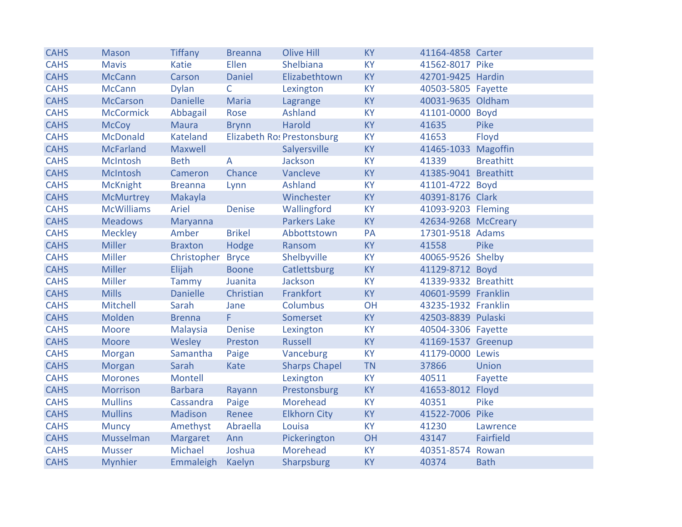| <b>CAHS</b> | <b>Mason</b>      | <b>Tiffany</b>  | <b>Breanna</b> | <b>Olive Hill</b>          | <b>KY</b> | 41164-4858 Carter    |                  |
|-------------|-------------------|-----------------|----------------|----------------------------|-----------|----------------------|------------------|
| <b>CAHS</b> | <b>Mavis</b>      | Katie           | Ellen          | Shelbiana                  | <b>KY</b> | 41562-8017 Pike      |                  |
| <b>CAHS</b> | <b>McCann</b>     | Carson          | Daniel         | Elizabethtown              | <b>KY</b> | 42701-9425 Hardin    |                  |
| <b>CAHS</b> | <b>McCann</b>     | <b>Dylan</b>    | $\mathsf{C}$   | Lexington                  | <b>KY</b> | 40503-5805 Fayette   |                  |
| <b>CAHS</b> | <b>McCarson</b>   | <b>Danielle</b> | <b>Maria</b>   | Lagrange                   | <b>KY</b> | 40031-9635 Oldham    |                  |
| <b>CAHS</b> | <b>McCormick</b>  | Abbagail        | Rose           | <b>Ashland</b>             | <b>KY</b> | 41101-0000 Boyd      |                  |
| <b>CAHS</b> | <b>McCoy</b>      | Maura           | <b>Brynn</b>   | Harold                     | <b>KY</b> | 41635                | Pike             |
| <b>CAHS</b> | <b>McDonald</b>   | Kateland        |                | Elizabeth Ro: Prestonsburg | <b>KY</b> | 41653                | Floyd            |
| <b>CAHS</b> | <b>McFarland</b>  | Maxwell         |                | Salyersville               | <b>KY</b> | 41465-1033 Magoffin  |                  |
| <b>CAHS</b> | McIntosh          | <b>Beth</b>     | A              | Jackson                    | <b>KY</b> | 41339                | <b>Breathitt</b> |
| <b>CAHS</b> | McIntosh          | Cameron         | Chance         | Vancleve                   | <b>KY</b> | 41385-9041 Breathitt |                  |
| <b>CAHS</b> | <b>McKnight</b>   | <b>Breanna</b>  | Lynn           | <b>Ashland</b>             | <b>KY</b> | 41101-4722 Boyd      |                  |
| <b>CAHS</b> | <b>McMurtrey</b>  | Makayla         |                | Winchester                 | <b>KY</b> | 40391-8176 Clark     |                  |
| <b>CAHS</b> | <b>McWilliams</b> | Ariel           | <b>Denise</b>  | Wallingford                | <b>KY</b> | 41093-9203 Fleming   |                  |
| <b>CAHS</b> | <b>Meadows</b>    | Maryanna        |                | <b>Parkers Lake</b>        | <b>KY</b> | 42634-9268 McCreary  |                  |
| <b>CAHS</b> | <b>Meckley</b>    | Amber           | <b>Brikel</b>  | Abbottstown                | PA        | 17301-9518 Adams     |                  |
| <b>CAHS</b> | <b>Miller</b>     | <b>Braxton</b>  | Hodge          | Ransom                     | <b>KY</b> | 41558                | Pike             |
| <b>CAHS</b> | <b>Miller</b>     | Christopher     | <b>Bryce</b>   | Shelbyville                | <b>KY</b> | 40065-9526 Shelby    |                  |
| <b>CAHS</b> | <b>Miller</b>     | Elijah          | <b>Boone</b>   | Catlettsburg               | <b>KY</b> | 41129-8712 Boyd      |                  |
| <b>CAHS</b> | <b>Miller</b>     | Tammy           | Juanita        | Jackson                    | <b>KY</b> | 41339-9332 Breathitt |                  |
| <b>CAHS</b> | <b>Mills</b>      | <b>Danielle</b> | Christian      | Frankfort                  | <b>KY</b> | 40601-9599 Franklin  |                  |
| <b>CAHS</b> | Mitchell          | Sarah           | Jane           | Columbus                   | OH        | 43235-1932 Franklin  |                  |
| <b>CAHS</b> | Molden            | <b>Brenna</b>   | F.             | Somerset                   | <b>KY</b> | 42503-8839 Pulaski   |                  |
| <b>CAHS</b> | <b>Moore</b>      | Malaysia        | <b>Denise</b>  | Lexington                  | <b>KY</b> | 40504-3306 Fayette   |                  |
| <b>CAHS</b> | Moore             | Wesley          | Preston        | <b>Russell</b>             | <b>KY</b> | 41169-1537 Greenup   |                  |
| <b>CAHS</b> | Morgan            | Samantha        | Paige          | Vanceburg                  | <b>KY</b> | 41179-0000 Lewis     |                  |
| <b>CAHS</b> | Morgan            | Sarah           | Kate           | <b>Sharps Chapel</b>       | <b>TN</b> | 37866                | Union            |
| <b>CAHS</b> | <b>Morones</b>    | Montell         |                | Lexington                  | <b>KY</b> | 40511                | Fayette          |
| <b>CAHS</b> | <b>Morrison</b>   | <b>Barbara</b>  | Rayann         | Prestonsburg               | <b>KY</b> | 41653-8012 Floyd     |                  |
| <b>CAHS</b> | <b>Mullins</b>    | Cassandra       | Paige          | Morehead                   | <b>KY</b> | 40351                | Pike             |
| <b>CAHS</b> | <b>Mullins</b>    | Madison         | Renee          | <b>Elkhorn City</b>        | <b>KY</b> | 41522-7006 Pike      |                  |
| <b>CAHS</b> | <b>Muncy</b>      | Amethyst        | Abraella       | Louisa                     | <b>KY</b> | 41230                | Lawrence         |
| <b>CAHS</b> | Musselman         | Margaret        | Ann            | Pickerington               | OH        | 43147                | Fairfield        |
| <b>CAHS</b> | <b>Musser</b>     | Michael         | Joshua         | Morehead                   | <b>KY</b> | 40351-8574           | Rowan            |
| <b>CAHS</b> | <b>Mynhier</b>    | Emmaleigh       | Kaelyn         | Sharpsburg                 | <b>KY</b> | 40374                | <b>Bath</b>      |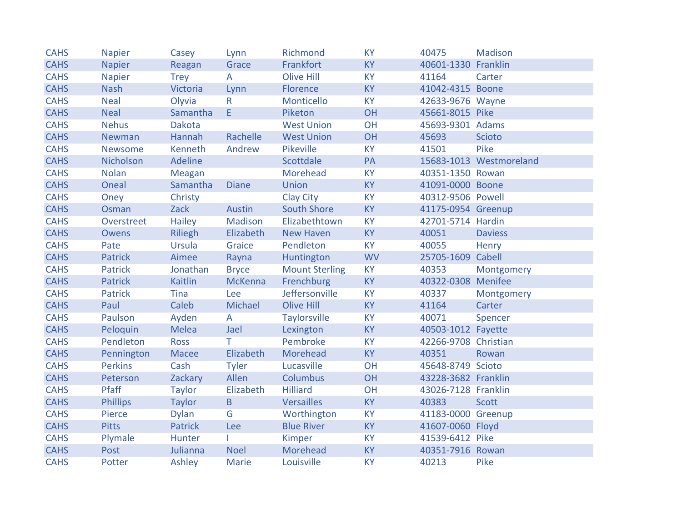| <b>CAHS</b> | <b>Napier</b>   | Casey          | Lynn           | Richmond              | <b>KY</b> | 40475                | Madison                 |
|-------------|-----------------|----------------|----------------|-----------------------|-----------|----------------------|-------------------------|
| <b>CAHS</b> | <b>Napier</b>   | Reagan         | Grace          | Frankfort             | <b>KY</b> | 40601-1330 Franklin  |                         |
| <b>CAHS</b> | <b>Napier</b>   | <b>Trey</b>    | A              | <b>Olive Hill</b>     | <b>KY</b> | 41164                | Carter                  |
| <b>CAHS</b> | <b>Nash</b>     | Victoria       | Lynn           | Florence              | <b>KY</b> | 41042-4315 Boone     |                         |
| <b>CAHS</b> | <b>Neal</b>     | Olyvia         | $\mathsf{R}$   | Monticello            | <b>KY</b> | 42633-9676 Wayne     |                         |
| <b>CAHS</b> | <b>Neal</b>     | Samantha       | E              | Piketon               | OH        | 45661-8015 Pike      |                         |
| <b>CAHS</b> | <b>Nehus</b>    | <b>Dakota</b>  |                | <b>West Union</b>     | OH        | 45693-9301 Adams     |                         |
| <b>CAHS</b> | Newman          | Hannah         | Rachelle       | <b>West Union</b>     | OH        | 45693                | <b>Scioto</b>           |
| <b>CAHS</b> | <b>Newsome</b>  | Kenneth        | Andrew         | Pikeville             | <b>KY</b> | 41501                | Pike                    |
| <b>CAHS</b> | Nicholson       | Adeline        |                | Scottdale             | PA        |                      | 15683-1013 Westmoreland |
| <b>CAHS</b> | <b>Nolan</b>    | Meagan         |                | Morehead              | <b>KY</b> | 40351-1350 Rowan     |                         |
| <b>CAHS</b> | Oneal           | Samantha       | <b>Diane</b>   | Union                 | <b>KY</b> | 41091-0000 Boone     |                         |
| <b>CAHS</b> | Oney            | Christy        |                | <b>Clay City</b>      | <b>KY</b> | 40312-9506 Powell    |                         |
| <b>CAHS</b> | Osman           | Zack           | Austin         | <b>South Shore</b>    | <b>KY</b> | 41175-0954 Greenup   |                         |
| <b>CAHS</b> | Overstreet      | Hailey         | Madison        | Elizabethtown         | <b>KY</b> | 42701-5714 Hardin    |                         |
| <b>CAHS</b> | <b>Owens</b>    | <b>Riliegh</b> | Elizabeth      | <b>New Haven</b>      | <b>KY</b> | 40051                | <b>Daviess</b>          |
| <b>CAHS</b> | Pate            | Ursula         | Graice         | Pendleton             | <b>KY</b> | 40055                | Henry                   |
| <b>CAHS</b> | <b>Patrick</b>  | Aimee          | Rayna          | Huntington            | <b>WV</b> | 25705-1609 Cabell    |                         |
| <b>CAHS</b> | <b>Patrick</b>  | Jonathan       | <b>Bryce</b>   | <b>Mount Sterling</b> | <b>KY</b> | 40353                | Montgomery              |
| <b>CAHS</b> | <b>Patrick</b>  | Kaitlin        | <b>McKenna</b> | Frenchburg            | <b>KY</b> | 40322-0308 Menifee   |                         |
| <b>CAHS</b> | <b>Patrick</b>  | Tina           | Lee            | Jeffersonville        | <b>KY</b> | 40337                | Montgomery              |
| <b>CAHS</b> | Paul            | Caleb          | Michael        | <b>Olive Hill</b>     | <b>KY</b> | 41164                | Carter                  |
| <b>CAHS</b> | Paulson         | Ayden          | $\overline{A}$ | <b>Taylorsville</b>   | <b>KY</b> | 40071                | Spencer                 |
| <b>CAHS</b> | Peloquin        | Melea          | Jael           | Lexington             | <b>KY</b> | 40503-1012 Fayette   |                         |
| <b>CAHS</b> | Pendleton       | <b>Ross</b>    | T.             | Pembroke              | <b>KY</b> | 42266-9708 Christian |                         |
| <b>CAHS</b> | Pennington      | Macee          | Elizabeth      | Morehead              | <b>KY</b> | 40351                | Rowan                   |
| <b>CAHS</b> | <b>Perkins</b>  | Cash           | <b>Tyler</b>   | Lucasville            | OH        | 45648-8749 Scioto    |                         |
| <b>CAHS</b> | Peterson        | Zackary        | Allen          | <b>Columbus</b>       | OH        | 43228-3682 Franklin  |                         |
| <b>CAHS</b> | Pfaff           | <b>Taylor</b>  | Elizabeth      | <b>Hilliard</b>       | OH        | 43026-7128 Franklin  |                         |
| <b>CAHS</b> | <b>Phillips</b> | <b>Taylor</b>  | $\overline{B}$ | <b>Versailles</b>     | <b>KY</b> | 40383                | <b>Scott</b>            |
| <b>CAHS</b> | Pierce          | <b>Dylan</b>   | G              | Worthington           | <b>KY</b> | 41183-0000 Greenup   |                         |
| <b>CAHS</b> | <b>Pitts</b>    | <b>Patrick</b> | Lee            | <b>Blue River</b>     | <b>KY</b> | 41607-0060 Floyd     |                         |
| <b>CAHS</b> | Plymale         | Hunter         |                | Kimper                | <b>KY</b> | 41539-6412 Pike      |                         |
| <b>CAHS</b> | Post            | Julianna       | <b>Noel</b>    | Morehead              | <b>KY</b> | 40351-7916 Rowan     |                         |
| <b>CAHS</b> | Potter          | Ashley         | Marie          | Louisville            | <b>KY</b> | 40213                | Pike                    |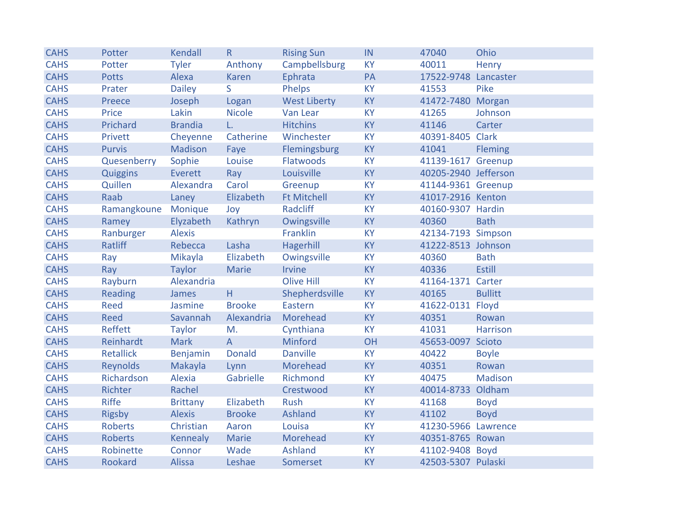| <b>CAHS</b> | Potter              | Kendall         | R              | <b>Rising Sun</b>   | IN        | 47040                | Ohio           |
|-------------|---------------------|-----------------|----------------|---------------------|-----------|----------------------|----------------|
| <b>CAHS</b> | Potter              | <b>Tyler</b>    | Anthony        | Campbellsburg       | <b>KY</b> | 40011                | Henry          |
| <b>CAHS</b> | <b>Potts</b>        | Alexa           | Karen          | Ephrata             | PA        | 17522-9748 Lancaster |                |
| <b>CAHS</b> | Prater              | <b>Dailey</b>   | S              | Phelps              | <b>KY</b> | 41553                | Pike           |
| <b>CAHS</b> | Preece              | Joseph          | Logan          | <b>West Liberty</b> | <b>KY</b> | 41472-7480 Morgan    |                |
| <b>CAHS</b> | Price               | Lakin           | <b>Nicole</b>  | Van Lear            | <b>KY</b> | 41265                | Johnson        |
| <b>CAHS</b> | Prichard            | <b>Brandia</b>  | L.             | <b>Hitchins</b>     | <b>KY</b> | 41146                | Carter         |
| <b>CAHS</b> | Privett             | Cheyenne        | Catherine      | Winchester          | <b>KY</b> | 40391-8405 Clark     |                |
| <b>CAHS</b> | <b>Purvis</b>       | Madison         | Faye           | Flemingsburg        | <b>KY</b> | 41041                | <b>Fleming</b> |
| <b>CAHS</b> | Quesenberry         | Sophie          | Louise         | Flatwoods           | <b>KY</b> | 41139-1617 Greenup   |                |
| <b>CAHS</b> | Quiggins            | Everett         | Ray            | Louisville          | KY        | 40205-2940 Jefferson |                |
| <b>CAHS</b> | Quillen             | Alexandra       | Carol          | Greenup             | <b>KY</b> | 41144-9361 Greenup   |                |
| <b>CAHS</b> | Raab                | Laney           | Elizabeth      | <b>Ft Mitchell</b>  | <b>KY</b> | 41017-2916 Kenton    |                |
| <b>CAHS</b> | Ramangkoune Monique |                 | Joy            | Radcliff            | <b>KY</b> | 40160-9307 Hardin    |                |
| <b>CAHS</b> | Ramey               | Elyzabeth       | Kathryn        | Owingsville         | <b>KY</b> | 40360                | <b>Bath</b>    |
| <b>CAHS</b> | Ranburger           | <b>Alexis</b>   |                | Franklin            | <b>KY</b> | 42134-7193 Simpson   |                |
| <b>CAHS</b> | Ratliff             | Rebecca         | Lasha          | Hagerhill           | <b>KY</b> | 41222-8513 Johnson   |                |
| <b>CAHS</b> | Ray                 | Mikayla         | Elizabeth      | Owingsville         | <b>KY</b> | 40360                | <b>Bath</b>    |
| <b>CAHS</b> | Ray                 | <b>Taylor</b>   | Marie          | Irvine              | <b>KY</b> | 40336                | <b>Estill</b>  |
| <b>CAHS</b> | Rayburn             | Alexandria      |                | <b>Olive Hill</b>   | <b>KY</b> | 41164-1371 Carter    |                |
| <b>CAHS</b> | <b>Reading</b>      | James           | Η.             | Shepherdsville      | <b>KY</b> | 40165                | <b>Bullitt</b> |
| <b>CAHS</b> | Reed                | Jasmine         | <b>Brooke</b>  | Eastern             | <b>KY</b> | 41622-0131 Floyd     |                |
| <b>CAHS</b> | <b>Reed</b>         | Savannah        | Alexandria     | Morehead            | <b>KY</b> | 40351                | Rowan          |
| <b>CAHS</b> | <b>Reffett</b>      | <b>Taylor</b>   | M.             | Cynthiana           | <b>KY</b> | 41031                | Harrison       |
| <b>CAHS</b> | Reinhardt           | <b>Mark</b>     | $\overline{A}$ | Minford             | OH        | 45653-0097 Scioto    |                |
| <b>CAHS</b> | <b>Retallick</b>    | Benjamin        | <b>Donald</b>  | <b>Danville</b>     | <b>KY</b> | 40422                | <b>Boyle</b>   |
| <b>CAHS</b> | <b>Reynolds</b>     | Makayla         | Lynn           | Morehead            | <b>KY</b> | 40351                | Rowan          |
| <b>CAHS</b> | Richardson          | Alexia          | Gabrielle      | Richmond            | <b>KY</b> | 40475                | Madison        |
| <b>CAHS</b> | Richter             | Rachel          |                | Crestwood           | <b>KY</b> | 40014-8733           | Oldham         |
| <b>CAHS</b> | Riffe               | <b>Brittany</b> | Elizabeth      | Rush                | <b>KY</b> | 41168                | <b>Boyd</b>    |
| <b>CAHS</b> | <b>Rigsby</b>       | <b>Alexis</b>   | <b>Brooke</b>  | Ashland             | <b>KY</b> | 41102                | <b>Boyd</b>    |
| <b>CAHS</b> | <b>Roberts</b>      | Christian       | Aaron          | Louisa              | <b>KY</b> | 41230-5966 Lawrence  |                |
| <b>CAHS</b> | <b>Roberts</b>      | Kennealy        | Marie          | Morehead            | <b>KY</b> | 40351-8765 Rowan     |                |
| <b>CAHS</b> | Robinette           | Connor          | Wade           | Ashland             | KY        | 41102-9408 Boyd      |                |
| <b>CAHS</b> | Rookard             | Alissa          | Leshae         | Somerset            | <b>KY</b> | 42503-5307 Pulaski   |                |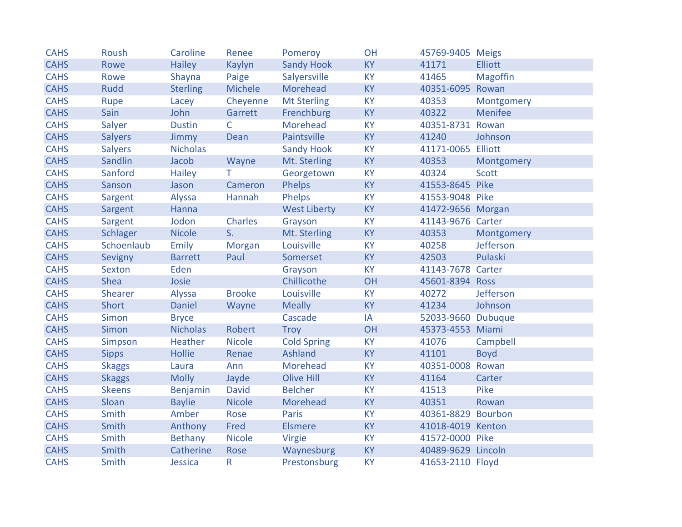| <b>CAHS</b> | Roush          | Caroline        | Renee          | Pomeroy             | OH        | 45769-9405 Meigs   |                 |
|-------------|----------------|-----------------|----------------|---------------------|-----------|--------------------|-----------------|
| <b>CAHS</b> | Rowe           | <b>Hailey</b>   | <b>Kaylyn</b>  | <b>Sandy Hook</b>   | <b>KY</b> | 41171              | <b>Elliott</b>  |
| <b>CAHS</b> | Rowe           | Shayna          | Paige          | Salyersville        | <b>KY</b> | 41465              | <b>Magoffin</b> |
| <b>CAHS</b> | <b>Rudd</b>    | <b>Sterling</b> | Michele        | Morehead            | <b>KY</b> | 40351-6095 Rowan   |                 |
| <b>CAHS</b> | Rupe           | Lacey           | Cheyenne       | <b>Mt Sterling</b>  | <b>KY</b> | 40353              | Montgomery      |
| <b>CAHS</b> | Sain           | John            | Garrett        | Frenchburg          | <b>KY</b> | 40322              | Menifee         |
| <b>CAHS</b> | Salyer         | <b>Dustin</b>   | $\mathsf{C}$   | Morehead            | <b>KY</b> | 40351-8731 Rowan   |                 |
| <b>CAHS</b> | <b>Salyers</b> | Jimmy           | Dean           | Paintsville         | <b>KY</b> | 41240              | Johnson         |
| <b>CAHS</b> | <b>Salyers</b> | <b>Nicholas</b> |                | <b>Sandy Hook</b>   | <b>KY</b> | 41171-0065 Elliott |                 |
| <b>CAHS</b> | Sandlin        | Jacob           | Wayne          | Mt. Sterling        | <b>KY</b> | 40353              | Montgomery      |
| <b>CAHS</b> | Sanford        | <b>Hailey</b>   | T.             | Georgetown          | <b>KY</b> | 40324              | <b>Scott</b>    |
| <b>CAHS</b> | Sanson         | Jason           | Cameron        | <b>Phelps</b>       | <b>KY</b> | 41553-8645 Pike    |                 |
| <b>CAHS</b> | Sargent        | Alyssa          | Hannah         | Phelps              | <b>KY</b> | 41553-9048 Pike    |                 |
| <b>CAHS</b> | Sargent        | Hanna           |                | <b>West Liberty</b> | <b>KY</b> | 41472-9656 Morgan  |                 |
| <b>CAHS</b> | Sargent        | Jodon           | Charles        | Grayson             | <b>KY</b> | 41143-9676 Carter  |                 |
| <b>CAHS</b> | Schlager       | <b>Nicole</b>   | S <sub>r</sub> | Mt. Sterling        | <b>KY</b> | 40353              | Montgomery      |
| <b>CAHS</b> | Schoenlaub     | Emily           | Morgan         | Louisville          | <b>KY</b> | 40258              | Jefferson       |
| <b>CAHS</b> | Sevigny        | <b>Barrett</b>  | Paul           | Somerset            | <b>KY</b> | 42503              | Pulaski         |
| <b>CAHS</b> | Sexton         | Eden            |                | Grayson             | <b>KY</b> | 41143-7678 Carter  |                 |
| <b>CAHS</b> | Shea           | Josie           |                | Chillicothe         | OH        | 45601-8394 Ross    |                 |
| <b>CAHS</b> | Shearer        | Alyssa          | <b>Brooke</b>  | Louisville          | <b>KY</b> | 40272              | Jefferson       |
| <b>CAHS</b> | Short          | <b>Daniel</b>   | Wayne          | <b>Meally</b>       | <b>KY</b> | 41234              | Johnson         |
| <b>CAHS</b> | <b>Simon</b>   | <b>Bryce</b>    |                | Cascade             | IA        | 52033-9660 Dubuque |                 |
| <b>CAHS</b> | Simon          | <b>Nicholas</b> | Robert         | Troy                | OH        | 45373-4553 Miami   |                 |
| <b>CAHS</b> | Simpson        | Heather         | <b>Nicole</b>  | <b>Cold Spring</b>  | <b>KY</b> | 41076              | Campbell        |
| <b>CAHS</b> | <b>Sipps</b>   | <b>Hollie</b>   | Renae          | Ashland             | <b>KY</b> | 41101              | <b>Boyd</b>     |
| <b>CAHS</b> | <b>Skaggs</b>  | Laura           | Ann            | Morehead            | KY        | 40351-0008 Rowan   |                 |
| <b>CAHS</b> | <b>Skaggs</b>  | <b>Molly</b>    | Jayde          | <b>Olive Hill</b>   | <b>KY</b> | 41164              | Carter          |
| <b>CAHS</b> | <b>Skeens</b>  | Benjamin        | <b>David</b>   | <b>Belcher</b>      | <b>KY</b> | 41513              | Pike            |
| <b>CAHS</b> | Sloan          | <b>Baylie</b>   | <b>Nicole</b>  | Morehead            | <b>KY</b> | 40351              | Rowan           |
| <b>CAHS</b> | Smith          | Amber           | Rose           | Paris               | <b>KY</b> | 40361-8829 Bourbon |                 |
| <b>CAHS</b> | Smith          | Anthony         | Fred           | <b>Elsmere</b>      | <b>KY</b> | 41018-4019 Kenton  |                 |
| <b>CAHS</b> | Smith          | Bethany         | <b>Nicole</b>  | Virgie              | <b>KY</b> | 41572-0000 Pike    |                 |
| <b>CAHS</b> | Smith          | Catherine       | Rose           | Waynesburg          | <b>KY</b> | 40489-9629 Lincoln |                 |
| <b>CAHS</b> | Smith          | Jessica         | $\mathsf{R}$   | Prestonsburg        | KY        | 41653-2110 Floyd   |                 |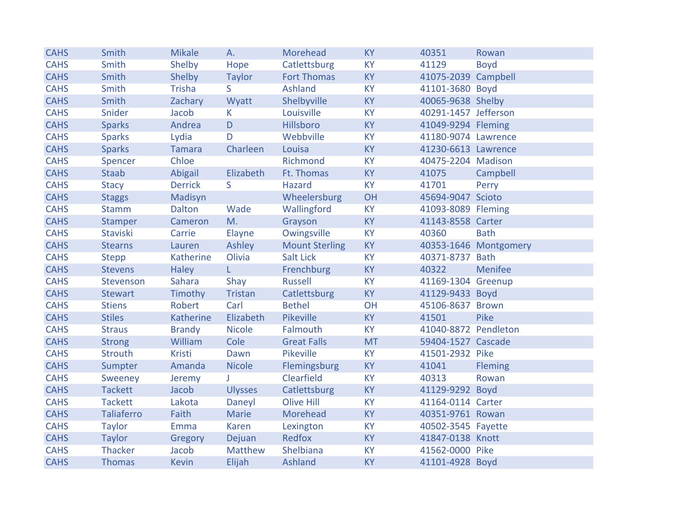| <b>CAHS</b> | Smith             | <b>Mikale</b>  | A.             | Morehead              | <b>KY</b> | 40351                | Rowan                 |
|-------------|-------------------|----------------|----------------|-----------------------|-----------|----------------------|-----------------------|
| <b>CAHS</b> | Smith             | Shelby         | Hope           | Catlettsburg          | <b>KY</b> | 41129                | <b>Boyd</b>           |
| <b>CAHS</b> | Smith             | Shelby         | <b>Taylor</b>  | <b>Fort Thomas</b>    | <b>KY</b> | 41075-2039 Campbell  |                       |
| <b>CAHS</b> | Smith             | <b>Trisha</b>  | S.             | Ashland               | <b>KY</b> | 41101-3680 Boyd      |                       |
| <b>CAHS</b> | Smith             | Zachary        | Wyatt          | Shelbyville           | <b>KY</b> | 40065-9638 Shelby    |                       |
| <b>CAHS</b> | Snider            | Jacob          | K.             | Louisville            | KY        | 40291-1457 Jefferson |                       |
| <b>CAHS</b> | <b>Sparks</b>     | Andrea         | D              | Hillsboro             | <b>KY</b> | 41049-9294 Fleming   |                       |
| <b>CAHS</b> | <b>Sparks</b>     | Lydia          | D              | Webbville             | <b>KY</b> | 41180-9074 Lawrence  |                       |
| <b>CAHS</b> | <b>Sparks</b>     | Tamara         | Charleen       | Louisa                | <b>KY</b> | 41230-6613 Lawrence  |                       |
| <b>CAHS</b> | Spencer           | Chloe          |                | Richmond              | <b>KY</b> | 40475-2204 Madison   |                       |
| <b>CAHS</b> | <b>Staab</b>      | Abigail        | Elizabeth      | Ft. Thomas            | <b>KY</b> | 41075                | Campbell              |
| <b>CAHS</b> | <b>Stacy</b>      | <b>Derrick</b> | S.             | Hazard                | <b>KY</b> | 41701                | Perry                 |
| <b>CAHS</b> | <b>Staggs</b>     | Madisyn        |                | Wheelersburg          | OH        | 45694-9047 Scioto    |                       |
| <b>CAHS</b> | <b>Stamm</b>      | Dalton         | Wade           | Wallingford           | <b>KY</b> | 41093-8089 Fleming   |                       |
| <b>CAHS</b> | <b>Stamper</b>    | Cameron        | M.             | Grayson               | <b>KY</b> | 41143-8558 Carter    |                       |
| <b>CAHS</b> | Staviski          | Carrie         | Elayne         | Owingsville           | <b>KY</b> | 40360                | <b>Bath</b>           |
| <b>CAHS</b> | <b>Stearns</b>    | Lauren         | Ashley         | <b>Mount Sterling</b> | <b>KY</b> |                      | 40353-1646 Montgomery |
| <b>CAHS</b> | <b>Stepp</b>      | Katherine      | Olivia         | <b>Salt Lick</b>      | <b>KY</b> | 40371-8737 Bath      |                       |
| <b>CAHS</b> | <b>Stevens</b>    | <b>Haley</b>   | L.             | Frenchburg            | <b>KY</b> | 40322                | Menifee               |
| <b>CAHS</b> | Stevenson         | Sahara         | Shay           | <b>Russell</b>        | <b>KY</b> | 41169-1304 Greenup   |                       |
| <b>CAHS</b> | <b>Stewart</b>    | Timothy        | Tristan        | Catlettsburg          | <b>KY</b> | 41129-9433 Boyd      |                       |
| <b>CAHS</b> | <b>Stiens</b>     | Robert         | Carl           | <b>Bethel</b>         | OH        | 45106-8637 Brown     |                       |
| <b>CAHS</b> | <b>Stiles</b>     | Katherine      | Elizabeth      | Pikeville             | <b>KY</b> | 41501                | Pike                  |
| <b>CAHS</b> | <b>Straus</b>     | <b>Brandy</b>  | <b>Nicole</b>  | Falmouth              | <b>KY</b> | 41040-8872 Pendleton |                       |
| <b>CAHS</b> | <b>Strong</b>     | William        | Cole           | <b>Great Falls</b>    | <b>MT</b> | 59404-1527 Cascade   |                       |
| <b>CAHS</b> | <b>Strouth</b>    | Kristi         | Dawn           | Pikeville             | <b>KY</b> | 41501-2932 Pike      |                       |
| <b>CAHS</b> | Sumpter           | Amanda         | <b>Nicole</b>  | Flemingsburg          | <b>KY</b> | 41041                | <b>Fleming</b>        |
| <b>CAHS</b> | Sweeney           | Jeremy         | $\mathbf{J}$   | Clearfield            | <b>KY</b> | 40313                | Rowan                 |
| <b>CAHS</b> | <b>Tackett</b>    | Jacob          | <b>Ulysses</b> | Catlettsburg          | KY        | 41129-9292 Boyd      |                       |
| <b>CAHS</b> | <b>Tackett</b>    | Lakota         | Daneyl         | Olive Hill            | <b>KY</b> | 41164-0114 Carter    |                       |
| <b>CAHS</b> | <b>Taliaferro</b> | Faith          | Marie          | Morehead              | <b>KY</b> | 40351-9761 Rowan     |                       |
| <b>CAHS</b> | <b>Taylor</b>     | Emma           | Karen          | Lexington             | <b>KY</b> | 40502-3545 Fayette   |                       |
| <b>CAHS</b> | <b>Taylor</b>     | Gregory        | Dejuan         | Redfox                | <b>KY</b> | 41847-0138 Knott     |                       |
| <b>CAHS</b> | Thacker           | Jacob          | Matthew        | Shelbiana             | KY        | 41562-0000 Pike      |                       |
| <b>CAHS</b> | <b>Thomas</b>     | <b>Kevin</b>   | Elijah         | Ashland               | <b>KY</b> | 41101-4928 Boyd      |                       |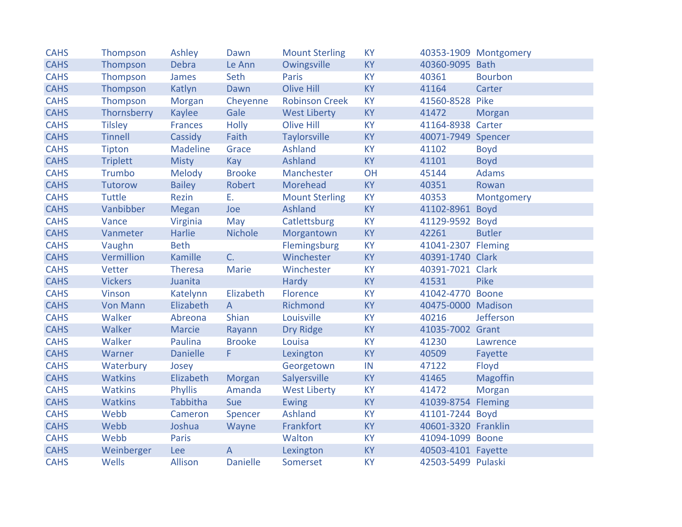| <b>CAHS</b> | Thompson        | Ashley          | Dawn            | <b>Mount Sterling</b> | <b>KY</b> |                     | 40353-1909 Montgomery |
|-------------|-----------------|-----------------|-----------------|-----------------------|-----------|---------------------|-----------------------|
| <b>CAHS</b> | Thompson        | Debra           | Le Ann          | Owingsville           | <b>KY</b> | 40360-9095 Bath     |                       |
| <b>CAHS</b> | Thompson        | James           | Seth            | Paris                 | <b>KY</b> | 40361               | <b>Bourbon</b>        |
| <b>CAHS</b> | Thompson        | Katlyn          | Dawn            | <b>Olive Hill</b>     | <b>KY</b> | 41164               | Carter                |
| <b>CAHS</b> | Thompson        | Morgan          | Cheyenne        | <b>Robinson Creek</b> | <b>KY</b> | 41560-8528          | Pike                  |
| <b>CAHS</b> | Thornsberry     | Kaylee          | Gale            | <b>West Liberty</b>   | <b>KY</b> | 41472               | Morgan                |
| <b>CAHS</b> | <b>Tilsley</b>  | <b>Frances</b>  | <b>Holly</b>    | <b>Olive Hill</b>     | <b>KY</b> | 41164-8938 Carter   |                       |
| <b>CAHS</b> | <b>Tinnell</b>  | Cassidy         | Faith           | <b>Taylorsville</b>   | <b>KY</b> | 40071-7949 Spencer  |                       |
| <b>CAHS</b> | Tipton          | <b>Madeline</b> | Grace           | <b>Ashland</b>        | <b>KY</b> | 41102               | <b>Boyd</b>           |
| <b>CAHS</b> | <b>Triplett</b> | <b>Misty</b>    | <b>Kay</b>      | Ashland               | <b>KY</b> | 41101               | <b>Boyd</b>           |
| <b>CAHS</b> | Trumbo          | Melody          | <b>Brooke</b>   | Manchester            | OH        | 45144               | Adams                 |
| <b>CAHS</b> | Tutorow         | <b>Bailey</b>   | Robert          | Morehead              | <b>KY</b> | 40351               | Rowan                 |
| <b>CAHS</b> | <b>Tuttle</b>   | Rezin           | Е.              | <b>Mount Sterling</b> | <b>KY</b> | 40353               | Montgomery            |
| <b>CAHS</b> | Vanbibber       | Megan           | Joe             | <b>Ashland</b>        | <b>KY</b> | 41102-8961 Boyd     |                       |
| <b>CAHS</b> | Vance           | Virginia        | May             | Catlettsburg          | <b>KY</b> | 41129-9592 Boyd     |                       |
| <b>CAHS</b> | Vanmeter        | Harlie          | <b>Nichole</b>  | Morgantown            | <b>KY</b> | 42261               | <b>Butler</b>         |
| <b>CAHS</b> | Vaughn          | <b>Beth</b>     |                 | Flemingsburg          | <b>KY</b> | 41041-2307 Fleming  |                       |
| <b>CAHS</b> | Vermillion      | Kamille         | C.              | Winchester            | <b>KY</b> | 40391-1740 Clark    |                       |
| <b>CAHS</b> | Vetter          | Theresa         | Marie           | Winchester            | <b>KY</b> | 40391-7021 Clark    |                       |
| <b>CAHS</b> | <b>Vickers</b>  | Juanita         |                 | Hardy                 | <b>KY</b> | 41531               | Pike                  |
| <b>CAHS</b> | Vinson          | Katelynn        | Elizabeth       | Florence              | <b>KY</b> | 41042-4770 Boone    |                       |
| <b>CAHS</b> | <b>Von Mann</b> | Elizabeth       | $\overline{A}$  | Richmond              | <b>KY</b> | 40475-0000 Madison  |                       |
| <b>CAHS</b> | Walker          | Abreona         | Shian           | Louisville            | <b>KY</b> | 40216               | Jefferson             |
| <b>CAHS</b> | Walker          | <b>Marcie</b>   | Rayann          | <b>Dry Ridge</b>      | <b>KY</b> | 41035-7002 Grant    |                       |
| <b>CAHS</b> | Walker          | Paulina         | <b>Brooke</b>   | Louisa                | <b>KY</b> | 41230               | Lawrence              |
| <b>CAHS</b> | Warner          | <b>Danielle</b> | F.              | Lexington             | <b>KY</b> | 40509               | Fayette               |
| <b>CAHS</b> | Waterbury       | Josey           |                 | Georgetown            | IN        | 47122               | Floyd                 |
| <b>CAHS</b> | <b>Watkins</b>  | Elizabeth       | Morgan          | Salyersville          | <b>KY</b> | 41465               | Magoffin              |
| <b>CAHS</b> | Watkins         | Phyllis         | Amanda          | <b>West Liberty</b>   | <b>KY</b> | 41472               | Morgan                |
| <b>CAHS</b> | <b>Watkins</b>  | Tabbitha        | Sue             | <b>Ewing</b>          | <b>KY</b> | 41039-8754 Fleming  |                       |
| <b>CAHS</b> | Webb            | Cameron         | Spencer         | Ashland               | <b>KY</b> | 41101-7244 Boyd     |                       |
| <b>CAHS</b> | Webb            | Joshua          | Wayne           | Frankfort             | <b>KY</b> | 40601-3320 Franklin |                       |
| <b>CAHS</b> | Webb            | Paris           |                 | Walton                | <b>KY</b> | 41094-1099 Boone    |                       |
| <b>CAHS</b> | Weinberger      | <b>Lee</b>      | $\overline{A}$  | Lexington             | <b>KY</b> | 40503-4101 Fayette  |                       |
| <b>CAHS</b> | Wells           | Allison         | <b>Danielle</b> | Somerset              | <b>KY</b> | 42503-5499 Pulaski  |                       |